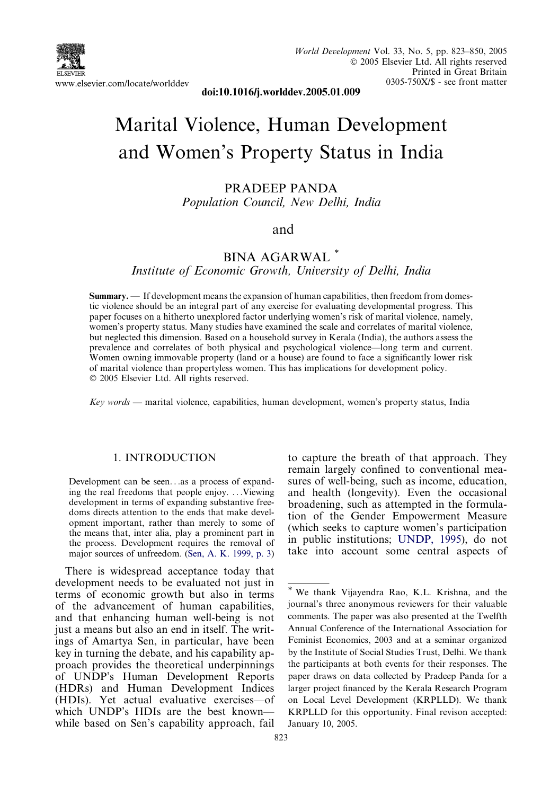

doi:10.1016/j.worlddev.2005.01.009

# Marital Violence, Human Development and Women's Property Status in India

PRADEEP PANDA Population Council, New Delhi, India

## and

# BINA AGARWAL \*

Institute of Economic Growth, University of Delhi, India

Summary. — If development means the expansion of human capabilities, then freedom from domestic violence should be an integral part of any exercise for evaluating developmental progress. This paper focuses on a hitherto unexplored factor underlying women's risk of marital violence, namely, women's property status. Many studies have examined the scale and correlates of marital violence, but neglected this dimension. Based on a household survey in Kerala (India), the authors assess the prevalence and correlates of both physical and psychological violence—long term and current. Women owning immovable property (land or a house) are found to face a significantly lower risk of marital violence than propertyless women. This has implications for development policy. 2005 Elsevier Ltd. All rights reserved.

Key words — marital violence, capabilities, human development, women's property status, India

## 1. INTRODUCTION

Development can be seen...as a process of expanding the real freedoms that people enjoy. ...Viewing development in terms of expanding substantive freedoms directs attention to the ends that make development important, rather than merely to some of the means that, inter alia, play a prominent part in the process. Development requires the removal of major sources of unfreedom. [\(Sen, A. K. 1999, p. 3\)](#page-27-0)

There is widespread acceptance today that development needs to be evaluated not just in terms of economic growth but also in terms of the advancement of human capabilities, and that enhancing human well-being is not just a means but also an end in itself. The writings of Amartya Sen, in particular, have been key in turning the debate, and his capability approach provides the theoretical underpinnings of UNDP's Human Development Reports (HDRs) and Human Development Indices (HDIs). Yet actual evaluative exercises—of which UNDP's HDIs are the best known while based on Sen's capability approach, fail to capture the breath of that approach. They remain largely confined to conventional measures of well-being, such as income, education, and health (longevity). Even the occasional broadening, such as attempted in the formulation of the Gender Empowerment Measure (which seeks to capture women's participation in public institutions; [UNDP, 1995\)](#page-27-0), do not take into account some central aspects of

<sup>\*</sup> We thank Vijayendra Rao, K.L. Krishna, and the journal's three anonymous reviewers for their valuable comments. The paper was also presented at the Twelfth Annual Conference of the International Association for Feminist Economics, 2003 and at a seminar organized by the Institute of Social Studies Trust, Delhi. We thank the participants at both events for their responses. The paper draws on data collected by Pradeep Panda for a larger project financed by the Kerala Research Program on Local Level Development (KRPLLD). We thank KRPLLD for this opportunity. Final revison accepted: January 10, 2005.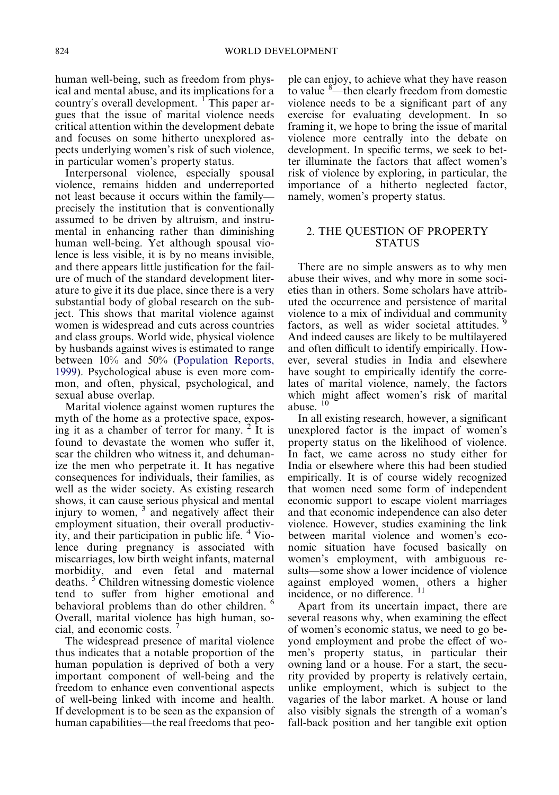human well-being, such as freedom from physical and mental abuse, and its implications for a country's overall development. <sup>1</sup> This paper argues that the issue of marital violence needs critical attention within the development debate and focuses on some hitherto unexplored aspects underlying women's risk of such violence, in particular women's property status.

Interpersonal violence, especially spousal violence, remains hidden and underreported not least because it occurs within the family precisely the institution that is conventionally assumed to be driven by altruism, and instrumental in enhancing rather than diminishing human well-being. Yet although spousal violence is less visible, it is by no means invisible, and there appears little justification for the failure of much of the standard development literature to give it its due place, since there is a very substantial body of global research on the subject. This shows that marital violence against women is widespread and cuts across countries and class groups. World wide, physical violence by husbands against wives is estimated to range between 10% and 50% ([Population Reports,](#page-27-0) [1999](#page-27-0)). Psychological abuse is even more common, and often, physical, psychological, and sexual abuse overlap.

Marital violence against women ruptures the myth of the home as a protective space, exposing it as a chamber of terror for many.  $2$  It is found to devastate the women who suffer it, scar the children who witness it, and dehumanize the men who perpetrate it. It has negative consequences for individuals, their families, as well as the wider society. As existing research shows, it can cause serious physical and mental injury to women, <sup>3</sup> and negatively affect their employment situation, their overall productivity, and their participation in public life. <sup>4</sup> Violence during pregnancy is associated with miscarriages, low birth weight infants, maternal morbidity, and even fetal and maternal deaths. <sup>5</sup> Children witnessing domestic violence tend to suffer from higher emotional and behavioral problems than do other children.<sup>6</sup> Overall, marital violence has high human, social, and economic costs. <sup>7</sup>

The widespread presence of marital violence thus indicates that a notable proportion of the human population is deprived of both a very important component of well-being and the freedom to enhance even conventional aspects of well-being linked with income and health. If development is to be seen as the expansion of human capabilities—the real freedoms that peo-

ple can enjoy, to achieve what they have reason to value  $\frac{8}{2}$ -then clearly freedom from domestic violence needs to be a significant part of any exercise for evaluating development. In so framing it, we hope to bring the issue of marital violence more centrally into the debate on development. In specific terms, we seek to better illuminate the factors that affect women's risk of violence by exploring, in particular, the importance of a hitherto neglected factor, namely, women's property status.

## 2. THE QUESTION OF PROPERTY STATUS

There are no simple answers as to why men abuse their wives, and why more in some societies than in others. Some scholars have attributed the occurrence and persistence of marital violence to a mix of individual and community factors, as well as wider societal attitudes. <sup>9</sup> And indeed causes are likely to be multilayered and often difficult to identify empirically. However, several studies in India and elsewhere have sought to empirically identify the correlates of marital violence, namely, the factors which might affect women's risk of marital abuse. <sup>10</sup>

In all existing research, however, a significant unexplored factor is the impact of women's property status on the likelihood of violence. In fact, we came across no study either for India or elsewhere where this had been studied empirically. It is of course widely recognized that women need some form of independent economic support to escape violent marriages and that economic independence can also deter violence. However, studies examining the link between marital violence and women's economic situation have focused basically on women's employment, with ambiguous results—some show a lower incidence of violence against employed women, others a higher incidence, or no difference.

Apart from its uncertain impact, there are several reasons why, when examining the effect of women's economic status, we need to go beyond employment and probe the effect of women's property status, in particular their owning land or a house. For a start, the security provided by property is relatively certain, unlike employment, which is subject to the vagaries of the labor market. A house or land also visibly signals the strength of a woman's fall-back position and her tangible exit option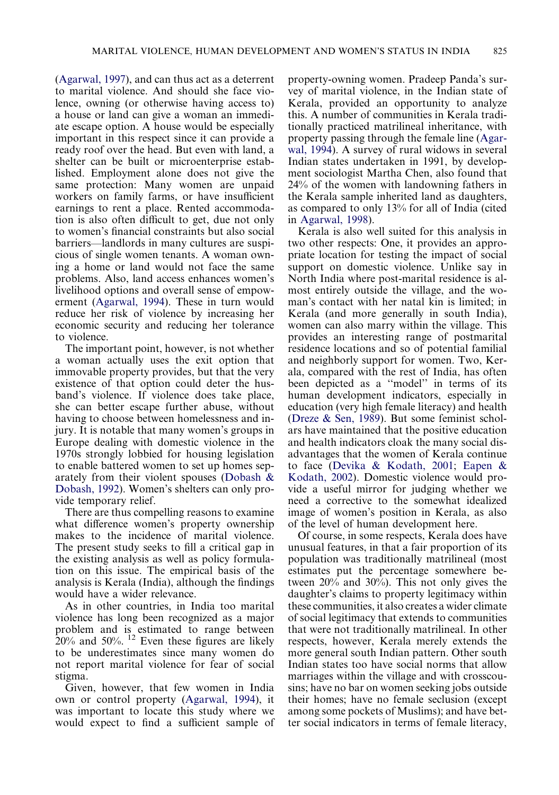[\(Agarwal, 1997\)](#page-25-0), and can thus act as a deterrent to marital violence. And should she face violence, owning (or otherwise having access to) a house or land can give a woman an immediate escape option. A house would be especially important in this respect since it can provide a ready roof over the head. But even with land, a shelter can be built or microenterprise established. Employment alone does not give the same protection: Many women are unpaid workers on family farms, or have insufficient earnings to rent a place. Rented accommodation is also often difficult to get, due not only to women's financial constraints but also social barriers—landlords in many cultures are suspicious of single women tenants. A woman owning a home or land would not face the same problems. Also, land access enhances women's livelihood options and overall sense of empowerment ([Agarwal, 1994\)](#page-25-0). These in turn would reduce her risk of violence by increasing her economic security and reducing her tolerance to violence.

The important point, however, is not whether a woman actually uses the exit option that immovable property provides, but that the very existence of that option could deter the husband's violence. If violence does take place, she can better escape further abuse, without having to choose between homelessness and injury. It is notable that many women's groups in Europe dealing with domestic violence in the 1970s strongly lobbied for housing legislation to enable battered women to set up homes separately from their violent spouses [\(Dobash &](#page-26-0) [Dobash, 1992](#page-26-0)). Women's shelters can only provide temporary relief.

There are thus compelling reasons to examine what difference women's property ownership makes to the incidence of marital violence. The present study seeks to fill a critical gap in the existing analysis as well as policy formulation on this issue. The empirical basis of the analysis is Kerala (India), although the findings would have a wider relevance.

As in other countries, in India too marital violence has long been recognized as a major problem and is estimated to range between  $20\%$  and 50%. <sup>12</sup> Even these figures are likely to be underestimates since many women do not report marital violence for fear of social stigma.

Given, however, that few women in India own or control property ([Agarwal, 1994\)](#page-25-0), it was important to locate this study where we would expect to find a sufficient sample of

property-owning women. Pradeep Panda's survey of marital violence, in the Indian state of Kerala, provided an opportunity to analyze this. A number of communities in Kerala traditionally practiced matrilineal inheritance, with property passing through the female line [\(Agar](#page-25-0)[wal, 1994\)](#page-25-0). A survey of rural widows in several Indian states undertaken in 1991, by development sociologist Martha Chen, also found that 24% of the women with landowning fathers in the Kerala sample inherited land as daughters, as compared to only 13% for all of India (cited in [Agarwal, 1998\)](#page-25-0).

Kerala is also well suited for this analysis in two other respects: One, it provides an appropriate location for testing the impact of social support on domestic violence. Unlike say in North India where post-marital residence is almost entirely outside the village, and the woman's contact with her natal kin is limited; in Kerala (and more generally in south India), women can also marry within the village. This provides an interesting range of postmarital residence locations and so of potential familial and neighborly support for women. Two, Kerala, compared with the rest of India, has often been depicted as a ''model'' in terms of its human development indicators, especially in education (very high female literacy) and health ([Dreze & Sen, 1989\)](#page-26-0). But some feminist scholars have maintained that the positive education and health indicators cloak the many social disadvantages that the women of Kerala continue to face [\(Devika & Kodath, 2001](#page-26-0); [Eapen &](#page-26-0) [Kodath, 2002](#page-26-0)). Domestic violence would provide a useful mirror for judging whether we need a corrective to the somewhat idealized image of women's position in Kerala, as also of the level of human development here.

Of course, in some respects, Kerala does have unusual features, in that a fair proportion of its population was traditionally matrilineal (most estimates put the percentage somewhere between 20% and 30%). This not only gives the daughter's claims to property legitimacy within these communities, it also creates a wider climate of social legitimacy that extends to communities that were not traditionally matrilineal. In other respects, however, Kerala merely extends the more general south Indian pattern. Other south Indian states too have social norms that allow marriages within the village and with crosscousins; have no bar on women seeking jobs outside their homes; have no female seclusion (except among some pockets of Muslims); and have better social indicators in terms of female literacy,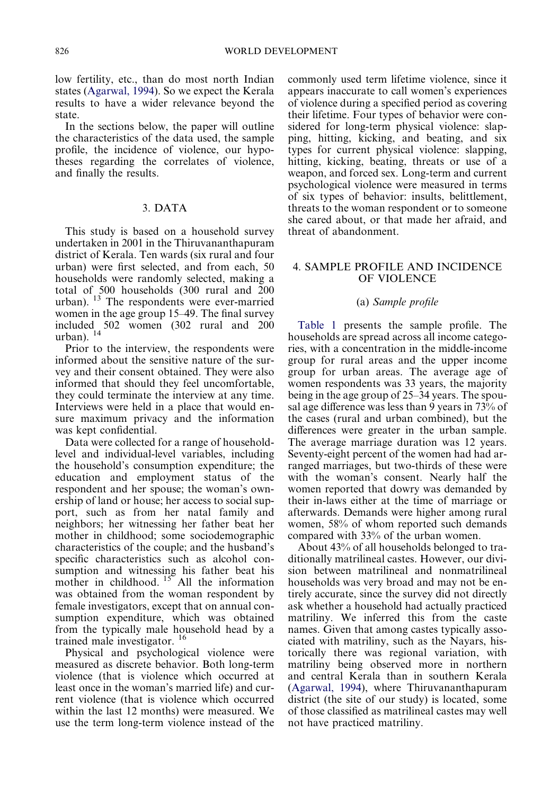low fertility, etc., than do most north Indian states [\(Agarwal, 1994\)](#page-25-0). So we expect the Kerala results to have a wider relevance beyond the state.

In the sections below, the paper will outline the characteristics of the data used, the sample profile, the incidence of violence, our hypotheses regarding the correlates of violence, and finally the results.

## 3. DATA

This study is based on a household survey undertaken in 2001 in the Thiruvananthapuram district of Kerala. Ten wards (six rural and four urban) were first selected, and from each, 50 households were randomly selected, making a total of 500 households (300 rural and 200 urban). <sup>13</sup> The respondents were ever-married women in the age group 15–49. The final survey included 502 women (302 rural and 200 urban).

Prior to the interview, the respondents were informed about the sensitive nature of the survey and their consent obtained. They were also informed that should they feel uncomfortable, they could terminate the interview at any time. Interviews were held in a place that would ensure maximum privacy and the information was kept confidential.

Data were collected for a range of householdlevel and individual-level variables, including the household's consumption expenditure; the education and employment status of the respondent and her spouse; the woman's ownership of land or house; her access to social support, such as from her natal family and neighbors; her witnessing her father beat her mother in childhood; some sociodemographic characteristics of the couple; and the husband's specific characteristics such as alcohol consumption and witnessing his father beat his mother in childhood.  $15^{\circ}$  All the information was obtained from the woman respondent by female investigators, except that on annual consumption expenditure, which was obtained from the typically male household head by a trained male investigator. <sup>16</sup>

Physical and psychological violence were measured as discrete behavior. Both long-term violence (that is violence which occurred at least once in the woman's married life) and current violence (that is violence which occurred within the last 12 months) were measured. We use the term long-term violence instead of the

commonly used term lifetime violence, since it appears inaccurate to call women's experiences of violence during a specified period as covering their lifetime. Four types of behavior were considered for long-term physical violence: slapping, hitting, kicking, and beating, and six types for current physical violence: slapping, hitting, kicking, beating, threats or use of a weapon, and forced sex. Long-term and current psychological violence were measured in terms of six types of behavior: insults, belittlement, threats to the woman respondent or to someone she cared about, or that made her afraid, and threat of abandonment.

## 4. SAMPLE PROFILE AND INCIDENCE OF VIOLENCE

## (a) Sample profile

[Table 1](#page-4-0) presents the sample profile. The households are spread across all income categories, with a concentration in the middle-income group for rural areas and the upper income group for urban areas. The average age of women respondents was 33 years, the majority being in the age group of 25–34 years. The spousal age difference was less than 9 years in 73% of the cases (rural and urban combined), but the differences were greater in the urban sample. The average marriage duration was 12 years. Seventy-eight percent of the women had had arranged marriages, but two-thirds of these were with the woman's consent. Nearly half the women reported that dowry was demanded by their in-laws either at the time of marriage or afterwards. Demands were higher among rural women, 58% of whom reported such demands compared with 33% of the urban women.

About 43% of all households belonged to traditionally matrilineal castes. However, our division between matrilineal and nonmatrilineal households was very broad and may not be entirely accurate, since the survey did not directly ask whether a household had actually practiced matriliny. We inferred this from the caste names. Given that among castes typically associated with matriliny, such as the Nayars, historically there was regional variation, with matriliny being observed more in northern and central Kerala than in southern Kerala ([Agarwal, 1994\)](#page-25-0), where Thiruvananthapuram district (the site of our study) is located, some of those classified as matrilineal castes may well not have practiced matriliny.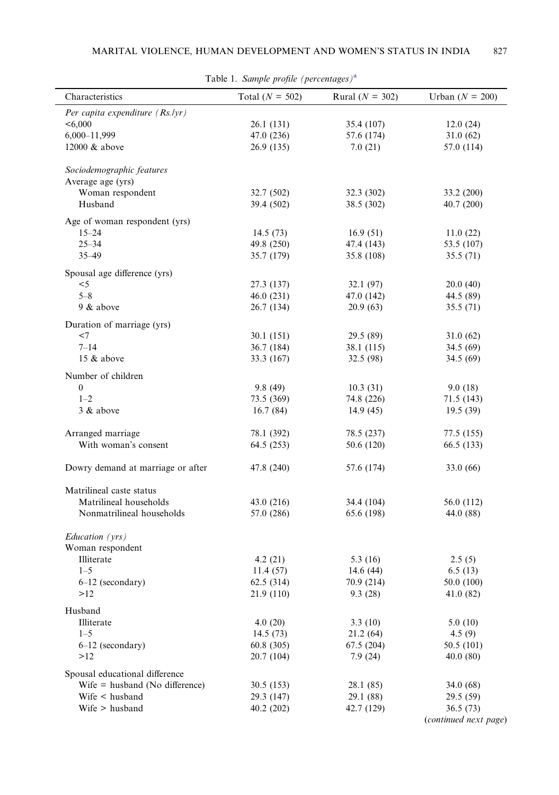<span id="page-4-0"></span>

| Characteristics                    | Total $(N = 502)$ | Rural $(N = 302)$ | Urban $(N = 200)$ |
|------------------------------------|-------------------|-------------------|-------------------|
| Per capita expenditure $(Rs. /yr)$ |                   |                   |                   |
| <6,000                             | 26.1(131)         | 35.4 (107)        | 12.0(24)          |
| 6,000-11,999                       | 47.0 (236)        | 57.6 (174)        | 31.0(62)          |
| 12000 & above                      | 26.9 (135)        | 7.0(21)           | 57.0 (114)        |
| Sociodemographic features          |                   |                   |                   |
| Average age (yrs)                  |                   |                   |                   |
| Woman respondent                   | 32.7(502)         | 32.3 (302)        | 33.2 (200)        |
| Husband                            | 39.4 (502)        | 38.5 (302)        | 40.7 (200)        |
| Age of woman respondent (yrs)      |                   |                   |                   |
| $15 - 24$                          | 14.5(73)          | 16.9(51)          | 11.0(22)          |
| $25 - 34$                          | 49.8 (250)        | 47.4 (143)        | 53.5 (107)        |
| $35 - 49$                          | 35.7 (179)        | 35.8 (108)        | 35.5(71)          |
| Spousal age difference (yrs)       |                   |                   |                   |
| $<$ 5                              | 27.3 (137)        | 32.1(97)          | 20.0(40)          |
| $5 - 8$                            | 46.0(231)         | 47.0 (142)        | 44.5 (89)         |
| 9 & above                          | 26.7 (134)        | 20.9(63)          | 35.5(71)          |
| Duration of marriage (yrs)         |                   |                   |                   |
| $<$ 7                              | 30.1(151)         | 29.5 (89)         | 31.0(62)          |
| $7 - 14$                           | 36.7(184)         | 38.1 (115)        | 34.5 (69)         |
| 15 $&$ above                       | 33.3 (167)        | 32.5(98)          | 34.5 (69)         |
| Number of children                 |                   |                   |                   |
| $\boldsymbol{0}$                   | 9.8(49)           | 10.3(31)          | 9.0(18)           |
| $1 - 2$                            | 73.5 (369)        | 74.8 (226)        | 71.5 (143)        |
| 3 & above                          | 16.7(84)          | 14.9(45)          | 19.5(39)          |
| Arranged marriage                  | 78.1 (392)        | 78.5 (237)        | 77.5 (155)        |
| With woman's consent               | 64.5(253)         | 50.6 (120)        | 66.5 (133)        |
| Dowry demand at marriage or after  | 47.8 (240)        | 57.6 (174)        | 33.0(66)          |
| Matrilineal caste status           |                   |                   |                   |
| Matrilineal households             | 43.0(216)         | 34.4 (104)        | 56.0 (112)        |
| Nonmatrilineal households          | 57.0 (286)        | 65.6 (198)        | 44.0 (88)         |
| Education (yrs)                    |                   |                   |                   |
| Woman respondent                   |                   |                   |                   |
| Illiterate                         | 4.2(21)           | 5.3 (16)          | 2.5(5)            |
| $1 - 5$                            | 11.4(57)          | 14.6 $(44)$       | 6.5(13)           |
| 6-12 (secondary)                   | 62.5 (314)        | 70.9 (214)        | 50.0(100)         |
| >12                                | 21.9 (110)        | 9.3(28)           | 41.0 (82)         |
| Husband                            |                   |                   |                   |
| Illiterate                         | 4.0(20)           | 3.3(10)           | 5.0(10)           |
| $1 - 5$                            | 14.5(73)          | 21.2(64)          | 4.5(9)            |
| $6-12$ (secondary)                 | 60.8 (305)        | 67.5 (204)        | 50.5 (101)        |
| >12                                | 20.7 (104)        | 7.9(24)           | 40.0(80)          |
| Spousal educational difference     |                   |                   |                   |
| Wife $=$ husband (No difference)   | 30.5(153)         | 28.1 (85)         | 34.0 (68)         |
| Wife < husband                     | 29.3 (147)        | 29.1 (88)         | 29.5 (59)         |
| Wife > husband                     | 40.2 (202)        | 42.7 (129)        | 36.5(73)          |

T[a](#page-5-0)ble 1. Sample profile (percentages)<sup>a</sup>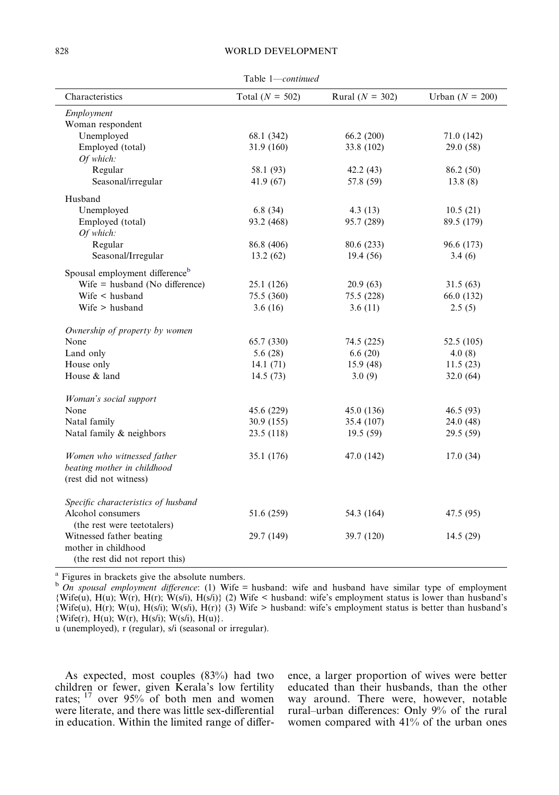<span id="page-5-0"></span>Characteristics Total  $(N = 502)$  Rural  $(N = 302)$  Urban  $(N = 200)$ Employment Woman respondent Unemployed 68.1 (342) 66.2 (200) 71.0 (142) Employed (total) 31.9 (160) 33.8 (102) 29.0 (58) Of which: Regular 6.2 (50) 58.1 (93) 42.2 (43) 86.2 (50) Seasonal/irregular 41.9 (67) 57.8 (59) 13.8 (8) Husband Unemployed 6.8 (34) 4.3 (13) 10.5 (21) Employed (total) 93.2 (468) 95.7 (289) 89.5 (179) Of which: Regular 86.8 (406) 80.6 (233) 96.6 (173) Seasonal/Irregular 13.2 (62) 19.4 (56) 3.4 (6) Spousal employment difference<sup>b</sup> Wife = husband (No difference)  $25.1 (126)$   $20.9 (63)$   $31.5 (63)$ Wife < husband 75.5 (360) 75.5 (228) 66.0 (132) Wife > husband  $3.6 (16)$   $3.6 (11)$   $2.5 (5)$ Ownership of property by women None 65.7 (330) 74.5 (225) 52.5 (105) Land only  $5.6 (28)$   $6.6 (20)$   $4.0 (8)$ House only 11.5 (23) 14.1 (71) 15.9 (48) 11.5 (23) House & land 14.5 (73) 3.0 (9) 32.0 (64) Woman's social support None 45.6 (229) 45.0 (136) 46.5 (93) Natal family 30.9 (155) 35.4 (107) 24.0 (48) Natal family & neighbors 23.5 (118) 19.5 (59) 29.5 (59) Women who witnessed father beating mother in childhood (rest did not witness) 35.1 (176) 47.0 (142) 17.0 (34) Specific characteristics of husband Alcohol consumers (the rest were teetotalers) 51.6 (259) 54.3 (164) 47.5 (95) Witnessed father beating mother in childhood (the rest did not report this) 29.7 (149) 39.7 (120) 14.5 (29)

Table 1—continued

<sup>a</sup> Figures in brackets give the absolute numbers.<br><sup>b</sup> On spousal employment difference: (1) Wife = husband: wife and husband have similar type of employment  ${Wife(u), H(u); W(r), H(r); W(s/i), H(s/i)}$  (2) Wife < husband: wife's employment status is lower than husband's  ${Wife(u), H(r); W(u), H(s'i); W(s'i), H(r)}$  (3) Wife > husband: wife's employment status is better than husband's {Wife(r),  $H(u)$ ; W(r),  $H(s/i)$ ; W(s/i),  $H(u)$ }.

u (unemployed), r (regular), s/i (seasonal or irregular).

As expected, most couples (83%) had two children or fewer, given Kerala's low fertility rates; <sup>17</sup> over 95% of both men and women were literate, and there was little sex-differential in education. Within the limited range of difference, a larger proportion of wives were better educated than their husbands, than the other way around. There were, however, notable rural–urban differences: Only 9% of the rural women compared with 41% of the urban ones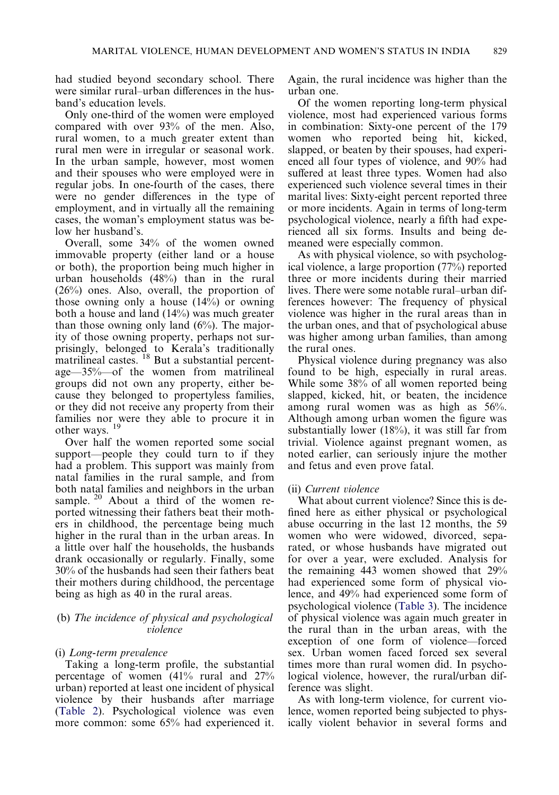had studied beyond secondary school. There were similar rural–urban differences in the husband's education levels.

Only one-third of the women were employed compared with over 93% of the men. Also, rural women, to a much greater extent than rural men were in irregular or seasonal work. In the urban sample, however, most women and their spouses who were employed were in regular jobs. In one-fourth of the cases, there were no gender differences in the type of employment, and in virtually all the remaining cases, the woman's employment status was below her husband's.

Overall, some 34% of the women owned immovable property (either land or a house or both), the proportion being much higher in urban households (48%) than in the rural (26%) ones. Also, overall, the proportion of those owning only a house (14%) or owning both a house and land (14%) was much greater than those owning only land (6%). The majority of those owning property, perhaps not surprisingly, belonged to Kerala's traditionally matrilineal castes. <sup>18</sup> But a substantial percentage—35%—of the women from matrilineal groups did not own any property, either because they belonged to propertyless families, or they did not receive any property from their families nor were they able to procure it in other ways.<sup>19</sup>

Over half the women reported some social support—people they could turn to if they had a problem. This support was mainly from natal families in the rural sample, and from both natal families and neighbors in the urban sample. <sup>20</sup> About a third of the women reported witnessing their fathers beat their mothers in childhood, the percentage being much higher in the rural than in the urban areas. In a little over half the households, the husbands drank occasionally or regularly. Finally, some 30% of the husbands had seen their fathers beat their mothers during childhood, the percentage being as high as 40 in the rural areas.

## (b) The incidence of physical and psychological violence

## (i) Long-term prevalence

Taking a long-term profile, the substantial percentage of women (41% rural and 27% urban) reported at least one incident of physical violence by their husbands after marriage [\(Table 2\)](#page-7-0). Psychological violence was even more common: some 65% had experienced it.

Again, the rural incidence was higher than the urban one.

Of the women reporting long-term physical violence, most had experienced various forms in combination: Sixty-one percent of the 179 women who reported being hit, kicked, slapped, or beaten by their spouses, had experienced all four types of violence, and 90% had suffered at least three types. Women had also experienced such violence several times in their marital lives: Sixty-eight percent reported three or more incidents. Again in terms of long-term psychological violence, nearly a fifth had experienced all six forms. Insults and being demeaned were especially common.

As with physical violence, so with psychological violence, a large proportion (77%) reported three or more incidents during their married lives. There were some notable rural–urban differences however: The frequency of physical violence was higher in the rural areas than in the urban ones, and that of psychological abuse was higher among urban families, than among the rural ones.

Physical violence during pregnancy was also found to be high, especially in rural areas. While some 38% of all women reported being slapped, kicked, hit, or beaten, the incidence among rural women was as high as 56%. Although among urban women the figure was substantially lower (18%), it was still far from trivial. Violence against pregnant women, as noted earlier, can seriously injure the mother and fetus and even prove fatal.

### (ii) Current violence

What about current violence? Since this is defined here as either physical or psychological abuse occurring in the last 12 months, the 59 women who were widowed, divorced, separated, or whose husbands have migrated out for over a year, were excluded. Analysis for the remaining 443 women showed that 29% had experienced some form of physical violence, and 49% had experienced some form of psychological violence ([Table 3](#page-8-0)). The incidence of physical violence was again much greater in the rural than in the urban areas, with the exception of one form of violence—forced sex. Urban women faced forced sex several times more than rural women did. In psychological violence, however, the rural/urban difference was slight.

As with long-term violence, for current violence, women reported being subjected to physically violent behavior in several forms and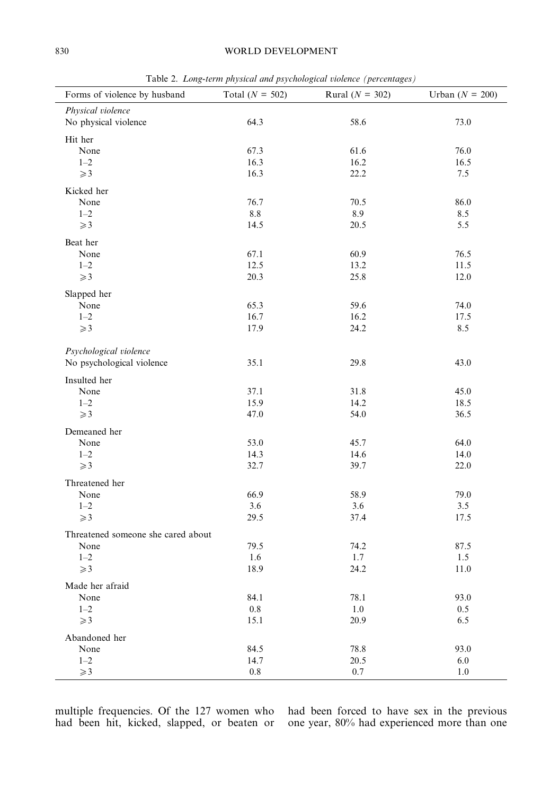<span id="page-7-0"></span>

| Forms of violence by husband       | Total ( $N = 502$ ) | Table 2. Long-term physical and psychological biotence (percentages)<br><b>Rural</b> ( $N = 302$ ) | Urban $(N = 200)$ |
|------------------------------------|---------------------|----------------------------------------------------------------------------------------------------|-------------------|
| Physical violence                  |                     |                                                                                                    |                   |
| No physical violence               | 64.3                | 58.6                                                                                               | 73.0              |
| Hit her                            |                     |                                                                                                    |                   |
| None                               | 67.3                | 61.6                                                                                               | 76.0              |
| $1 - 2$                            | 16.3                | 16.2                                                                                               | 16.5              |
| $\geqslant$ 3                      | 16.3                | 22.2                                                                                               | 7.5               |
|                                    |                     |                                                                                                    |                   |
| Kicked her<br>None                 | 76.7                | 70.5                                                                                               | 86.0              |
| $1 - 2$                            | 8.8                 | 8.9                                                                                                | 8.5               |
| $\geqslant$ 3                      | 14.5                | 20.5                                                                                               | 5.5               |
|                                    |                     |                                                                                                    |                   |
| Beat her                           |                     |                                                                                                    |                   |
| None<br>$1 - 2$                    | 67.1<br>12.5        | 60.9<br>13.2                                                                                       | 76.5<br>11.5      |
| $\geqslant$ 3                      | 20.3                | 25.8                                                                                               | 12.0              |
|                                    |                     |                                                                                                    |                   |
| Slapped her                        |                     |                                                                                                    |                   |
| None                               | 65.3                | 59.6                                                                                               | 74.0              |
| $1 - 2$                            | 16.7                | 16.2                                                                                               | 17.5              |
| $\geqslant$ 3                      | 17.9                | 24.2                                                                                               | 8.5               |
| Psychological violence             |                     |                                                                                                    |                   |
| No psychological violence          | 35.1                | 29.8                                                                                               | 43.0              |
| Insulted her                       |                     |                                                                                                    |                   |
| None                               | 37.1                | 31.8                                                                                               | 45.0              |
| $1 - 2$                            | 15.9                | 14.2                                                                                               | 18.5              |
| $\geqslant$ 3                      | 47.0                | 54.0                                                                                               | 36.5              |
| Demeaned her                       |                     |                                                                                                    |                   |
| None                               | 53.0                | 45.7                                                                                               | 64.0              |
| $1 - 2$                            | 14.3                | 14.6                                                                                               | 14.0              |
| $\geqslant$ 3                      | 32.7                | 39.7                                                                                               | 22.0              |
| Threatened her                     |                     |                                                                                                    |                   |
| None                               | 66.9                | 58.9                                                                                               | 79.0              |
| $1 - 2$                            | 3.6                 | 3.6                                                                                                | 3.5               |
| $\geqslant$ 3                      | 29.5                | 37.4                                                                                               | 17.5              |
| Threatened someone she cared about |                     |                                                                                                    |                   |
| None                               | 79.5                | 74.2                                                                                               | 87.5              |
| $1 - 2$                            | 1.6                 | 1.7                                                                                                | 1.5               |
| $\geqslant$ 3                      | 18.9                | 24.2                                                                                               | 11.0              |
| Made her afraid                    |                     |                                                                                                    |                   |
| None                               | 84.1                | 78.1                                                                                               | 93.0              |
| $1 - 2$                            | 0.8                 | 1.0                                                                                                | 0.5               |
| $\geqslant$ 3                      | 15.1                | 20.9                                                                                               | 6.5               |
| Abandoned her                      |                     |                                                                                                    |                   |
| None                               | 84.5                | 78.8                                                                                               | 93.0              |
| $1 - 2$                            | 14.7                | 20.5                                                                                               | 6.0               |
| $\geqslant$ 3                      | $0.8\,$             | 0.7                                                                                                | 1.0               |

Table 2. Long-term physical and psychological violence (percentages)

multiple frequencies. Of the 127 women who had been hit, kicked, slapped, or beaten or had been forced to have sex in the previous one year, 80% had experienced more than one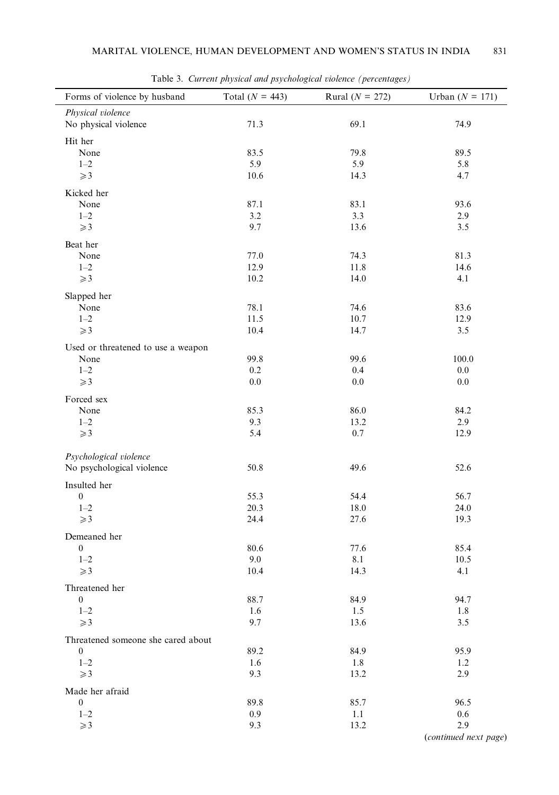<span id="page-8-0"></span>

| Forms of violence by husband       | Total $(N = 443)$ | Rural ( $N = 272$ ) | Urban $(N = 171)$ |
|------------------------------------|-------------------|---------------------|-------------------|
| Physical violence                  |                   |                     |                   |
| No physical violence               | 71.3              | 69.1                | 74.9              |
| Hit her                            |                   |                     |                   |
| None                               | 83.5              | 79.8                | 89.5              |
| $1 - 2$                            | 5.9               | 5.9                 | 5.8               |
| $\geqslant$ 3                      | 10.6              | 14.3                | 4.7               |
| Kicked her                         |                   |                     |                   |
| None                               | 87.1              | 83.1                | 93.6              |
| $1 - 2$                            | 3.2               | 3.3                 | 2.9               |
| $\geqslant$ 3                      | 9.7               | 13.6                | 3.5               |
| Beat her                           |                   |                     |                   |
| None                               | 77.0              | 74.3                | 81.3              |
| $1 - 2$                            | 12.9              | 11.8                | 14.6              |
| $\geqslant$ 3                      | 10.2              | 14.0                | 4.1               |
| Slapped her                        |                   |                     |                   |
| None                               | 78.1              | 74.6                | 83.6              |
| $1 - 2$                            | 11.5              | 10.7                | 12.9              |
| $\geqslant$ 3                      | 10.4              | 14.7                | 3.5               |
| Used or threatened to use a weapon |                   |                     |                   |
| None                               | 99.8              | 99.6                | 100.0             |
| $1 - 2$                            | 0.2               | 0.4                 | $0.0\,$           |
| $\geqslant$ 3                      | $0.0\,$           | $0.0\,$             | 0.0               |
| Forced sex                         |                   |                     |                   |
| None                               | 85.3              | 86.0                | 84.2              |
| $1 - 2$                            | 9.3               | 13.2                | 2.9               |
| $\geqslant$ 3                      | 5.4               | 0.7                 | 12.9              |
| Psychological violence             |                   |                     |                   |
| No psychological violence          | 50.8              | 49.6                | 52.6              |
| Insulted her                       |                   |                     |                   |
| $\boldsymbol{0}$                   | 55.3              | 54.4                | 56.7              |
| $1 - 2$                            | 20.3              | $18.0\,$            | 24.0              |
| $\geqslant$ 3                      | 24.4              | 27.6                | 19.3              |
| Demeaned her                       |                   |                     |                   |
| $\boldsymbol{0}$                   | 80.6              | 77.6                | 85.4              |
| $1 - 2$                            | 9.0               | 8.1                 | 10.5              |
| $\geqslant$ 3                      | 10.4              | 14.3                | 4.1               |
| Threatened her                     |                   |                     |                   |
| $\boldsymbol{0}$                   | 88.7              | 84.9                | 94.7              |
| $1 - 2$                            | 1.6               | 1.5                 | 1.8               |
| $\geqslant$ 3                      | 9.7               | 13.6                | 3.5               |
| Threatened someone she cared about |                   |                     |                   |
| $\boldsymbol{0}$                   | 89.2              | 84.9                | 95.9              |
| $1 - 2$                            | 1.6               | 1.8                 | 1.2               |
| $\geqslant$ 3                      | 9.3               | 13.2                | 2.9               |
| Made her afraid                    |                   |                     |                   |
| $\boldsymbol{0}$                   | 89.8              | 85.7                | 96.5              |
| $1 - 2$                            | $0.9\,$           | $1.1\,$             | 0.6               |
| $\geqslant$ 3                      | 9.3               | 13.2                | 2.9               |

Table 3. Current physical and psychological violence (percentages)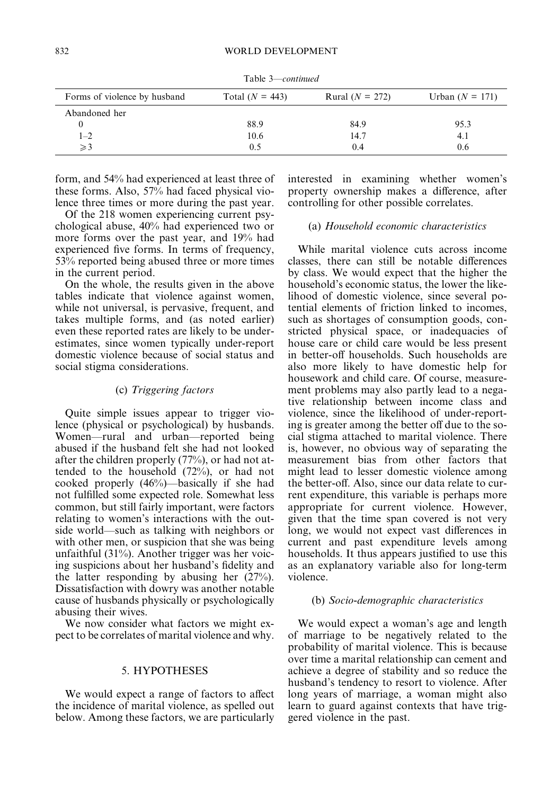| Forms of violence by husband | Total $(N = 443)$ | Rural $(N = 272)$ | Urban $(N = 171)$ |
|------------------------------|-------------------|-------------------|-------------------|
| Abandoned her                | 88.9              | 84.9              | 95.3              |
| $1 - 2$                      | 10.6              | 14.7              | 4.1               |
| $\geqslant$ 3                | 0.5               | 0.4               | 0.6               |

Table 3—continued

form, and 54% had experienced at least three of these forms. Also, 57% had faced physical violence three times or more during the past year.

Of the 218 women experiencing current psychological abuse, 40% had experienced two or more forms over the past year, and 19% had experienced five forms. In terms of frequency, 53% reported being abused three or more times in the current period.

On the whole, the results given in the above tables indicate that violence against women, while not universal, is pervasive, frequent, and takes multiple forms, and (as noted earlier) even these reported rates are likely to be underestimates, since women typically under-report domestic violence because of social status and social stigma considerations.

## (c) Triggering factors

Quite simple issues appear to trigger violence (physical or psychological) by husbands. Women—rural and urban—reported being abused if the husband felt she had not looked after the children properly (77%), or had not attended to the household (72%), or had not cooked properly (46%)—basically if she had not fulfilled some expected role. Somewhat less common, but still fairly important, were factors relating to women's interactions with the outside world—such as talking with neighbors or with other men, or suspicion that she was being unfaithful (31%). Another trigger was her voicing suspicions about her husband's fidelity and the latter responding by abusing her (27%). Dissatisfaction with dowry was another notable cause of husbands physically or psychologically abusing their wives.

We now consider what factors we might expect to be correlates of marital violence and why.

## 5. HYPOTHESES

We would expect a range of factors to affect the incidence of marital violence, as spelled out below. Among these factors, we are particularly interested in examining whether women's property ownership makes a difference, after controlling for other possible correlates.

#### (a) Household economic characteristics

While marital violence cuts across income classes, there can still be notable differences by class. We would expect that the higher the household's economic status, the lower the likelihood of domestic violence, since several potential elements of friction linked to incomes, such as shortages of consumption goods, constricted physical space, or inadequacies of house care or child care would be less present in better-off households. Such households are also more likely to have domestic help for housework and child care. Of course, measurement problems may also partly lead to a negative relationship between income class and violence, since the likelihood of under-reporting is greater among the better off due to the social stigma attached to marital violence. There is, however, no obvious way of separating the measurement bias from other factors that might lead to lesser domestic violence among the better-off. Also, since our data relate to current expenditure, this variable is perhaps more appropriate for current violence. However, given that the time span covered is not very long, we would not expect vast differences in current and past expenditure levels among households. It thus appears justified to use this as an explanatory variable also for long-term violence.

#### (b) Socio-demographic characteristics

We would expect a woman's age and length of marriage to be negatively related to the probability of marital violence. This is because over time a marital relationship can cement and achieve a degree of stability and so reduce the husband's tendency to resort to violence. After long years of marriage, a woman might also learn to guard against contexts that have triggered violence in the past.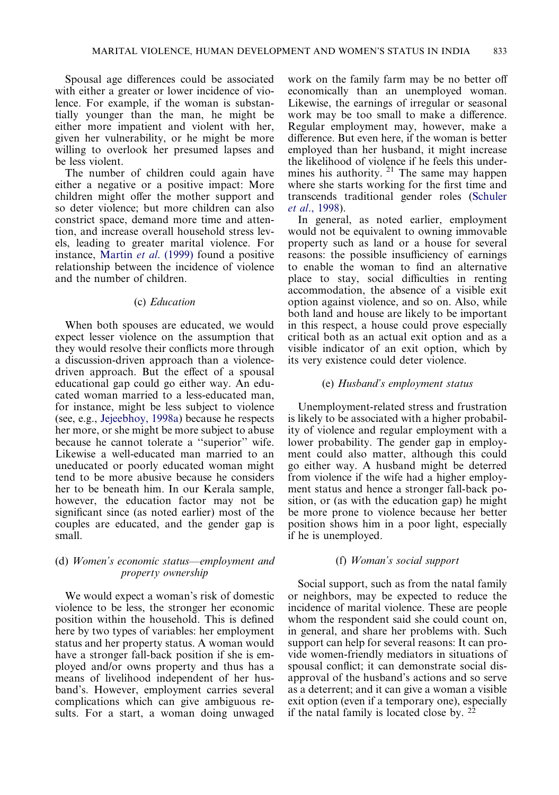Spousal age differences could be associated with either a greater or lower incidence of violence. For example, if the woman is substantially younger than the man, he might be either more impatient and violent with her, given her vulnerability, or he might be more willing to overlook her presumed lapses and be less violent.

The number of children could again have either a negative or a positive impact: More children might offer the mother support and so deter violence; but more children can also constrict space, demand more time and attention, and increase overall household stress levels, leading to greater marital violence. For instance, Martin et al[. \(1999\)](#page-26-0) found a positive relationship between the incidence of violence and the number of children.

#### (c) Education

When both spouses are educated, we would expect lesser violence on the assumption that they would resolve their conflicts more through a discussion-driven approach than a violencedriven approach. But the effect of a spousal educational gap could go either way. An educated woman married to a less-educated man, for instance, might be less subject to violence (see, e.g., [Jejeebhoy, 1998a](#page-26-0)) because he respects her more, or she might be more subject to abuse because he cannot tolerate a ''superior'' wife. Likewise a well-educated man married to an uneducated or poorly educated woman might tend to be more abusive because he considers her to be beneath him. In our Kerala sample, however, the education factor may not be significant since (as noted earlier) most of the couples are educated, and the gender gap is small.

## (d) Women's economic status—employment and property ownership

We would expect a woman's risk of domestic violence to be less, the stronger her economic position within the household. This is defined here by two types of variables: her employment status and her property status. A woman would have a stronger fall-back position if she is employed and/or owns property and thus has a means of livelihood independent of her husband's. However, employment carries several complications which can give ambiguous results. For a start, a woman doing unwaged

work on the family farm may be no better off economically than an unemployed woman. Likewise, the earnings of irregular or seasonal work may be too small to make a difference. Regular employment may, however, make a difference. But even here, if the woman is better employed than her husband, it might increase the likelihood of violence if he feels this undermines his authority.  $21$  The same may happen where she starts working for the first time and transcends traditional gender roles ([Schuler](#page-27-0) et al[., 1998](#page-27-0)).

In general, as noted earlier, employment would not be equivalent to owning immovable property such as land or a house for several reasons: the possible insufficiency of earnings to enable the woman to find an alternative place to stay, social difficulties in renting accommodation, the absence of a visible exit option against violence, and so on. Also, while both land and house are likely to be important in this respect, a house could prove especially critical both as an actual exit option and as a visible indicator of an exit option, which by its very existence could deter violence.

### (e) Husband's employment status

Unemployment-related stress and frustration is likely to be associated with a higher probability of violence and regular employment with a lower probability. The gender gap in employment could also matter, although this could go either way. A husband might be deterred from violence if the wife had a higher employment status and hence a stronger fall-back position, or (as with the education gap) he might be more prone to violence because her better position shows him in a poor light, especially if he is unemployed.

#### (f) Woman's social support

Social support, such as from the natal family or neighbors, may be expected to reduce the incidence of marital violence. These are people whom the respondent said she could count on, in general, and share her problems with. Such support can help for several reasons: It can provide women-friendly mediators in situations of spousal conflict; it can demonstrate social disapproval of the husband's actions and so serve as a deterrent; and it can give a woman a visible exit option (even if a temporary one), especially if the natal family is located close by. <sup>22</sup>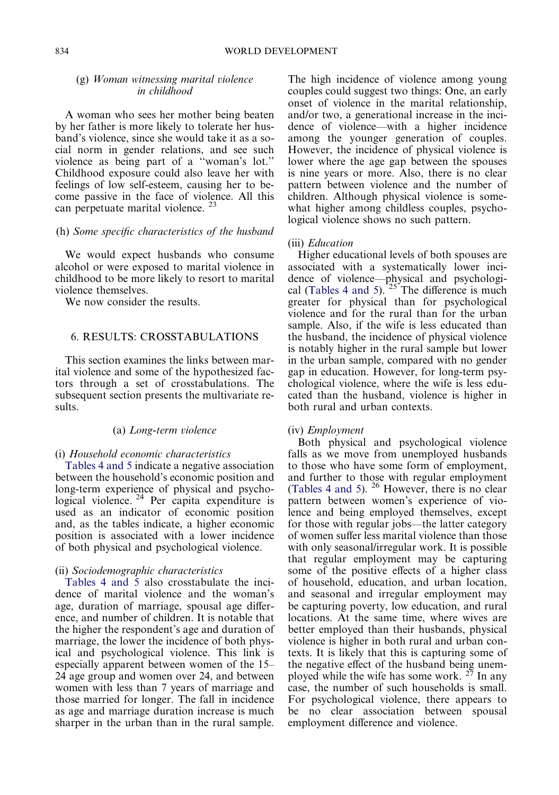## (g) Woman witnessing marital violence in childhood

A woman who sees her mother being beaten by her father is more likely to tolerate her husband's violence, since she would take it as a social norm in gender relations, and see such violence as being part of a ''woman's lot.'' Childhood exposure could also leave her with feelings of low self-esteem, causing her to become passive in the face of violence. All this can perpetuate marital violence.<sup>23</sup>

## (h) Some specific characteristics of the husband

We would expect husbands who consume alcohol or were exposed to marital violence in childhood to be more likely to resort to marital violence themselves.

We now consider the results.

## 6. RESULTS: CROSSTABULATIONS

This section examines the links between marital violence and some of the hypothesized factors through a set of crosstabulations. The subsequent section presents the multivariate results.

## (a) Long-term violence

#### (i) Household economic characteristics

[Tables 4 and 5](#page-12-0) indicate a negative association between the household's economic position and long-term experience of physical and psychological violence. <sup>24</sup> Per capita expenditure is used as an indicator of economic position and, as the tables indicate, a higher economic position is associated with a lower incidence of both physical and psychological violence.

#### (ii) Sociodemographic characteristics

[Tables 4 and 5](#page-12-0) also crosstabulate the incidence of marital violence and the woman's age, duration of marriage, spousal age difference, and number of children. It is notable that the higher the respondent's age and duration of marriage, the lower the incidence of both physical and psychological violence. This link is especially apparent between women of the 15– 24 age group and women over 24, and between women with less than 7 years of marriage and those married for longer. The fall in incidence as age and marriage duration increase is much sharper in the urban than in the rural sample. The high incidence of violence among young couples could suggest two things: One, an early onset of violence in the marital relationship, and/or two, a generational increase in the incidence of violence—with a higher incidence among the younger generation of couples. However, the incidence of physical violence is lower where the age gap between the spouses is nine years or more. Also, there is no clear pattern between violence and the number of children. Although physical violence is somewhat higher among childless couples, psychological violence shows no such pattern.

### (iii) Education

Higher educational levels of both spouses are associated with a systematically lower incidence of violence—physical and psychologi-cal [\(Tables 4 and 5\)](#page-12-0).  $25$  The difference is much greater for physical than for psychological violence and for the rural than for the urban sample. Also, if the wife is less educated than the husband, the incidence of physical violence is notably higher in the rural sample but lower in the urban sample, compared with no gender gap in education. However, for long-term psychological violence, where the wife is less educated than the husband, violence is higher in both rural and urban contexts.

#### (iv) Employment

Both physical and psychological violence falls as we move from unemployed husbands to those who have some form of employment, and further to those with regular employment ([Tables 4 and 5](#page-12-0)). <sup>26</sup> However, there is no clear pattern between women's experience of violence and being employed themselves, except for those with regular jobs—the latter category of women suffer less marital violence than those with only seasonal/irregular work. It is possible that regular employment may be capturing some of the positive effects of a higher class of household, education, and urban location, and seasonal and irregular employment may be capturing poverty, low education, and rural locations. At the same time, where wives are better employed than their husbands, physical violence is higher in both rural and urban contexts. It is likely that this is capturing some of the negative effect of the husband being unemployed while the wife has some work. <sup>27</sup> In any case, the number of such households is small. For psychological violence, there appears to be no clear association between spousal employment difference and violence.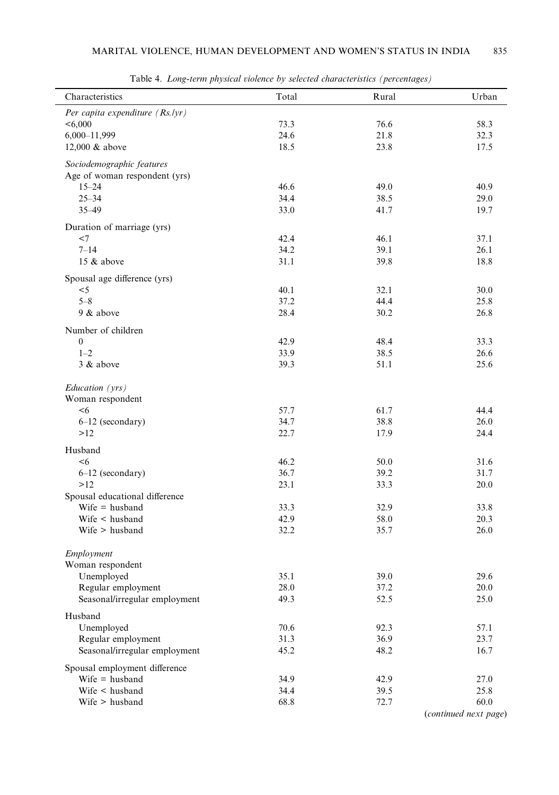<span id="page-12-0"></span>

| Characteristics                    | Total | Rural | Urban |
|------------------------------------|-------|-------|-------|
| Per capita expenditure $(Rs. /yr)$ |       |       |       |
| < 6,000                            | 73.3  | 76.6  | 58.3  |
| 6,000-11,999                       | 24.6  | 21.8  | 32.3  |
| 12,000 & above                     | 18.5  | 23.8  | 17.5  |
| Sociodemographic features          |       |       |       |
| Age of woman respondent (yrs)      |       |       |       |
| $15 - 24$                          | 46.6  | 49.0  | 40.9  |
| $25 - 34$                          | 34.4  | 38.5  | 29.0  |
| $35 - 49$                          | 33.0  | 41.7  | 19.7  |
| Duration of marriage (yrs)         |       |       |       |
| $<$ 7                              | 42.4  | 46.1  | 37.1  |
| $7 - 14$                           | 34.2  | 39.1  | 26.1  |
| 15 $&$ above                       | 31.1  | 39.8  | 18.8  |
| Spousal age difference (yrs)       |       |       |       |
| $<$ 5                              | 40.1  | 32.1  | 30.0  |
| $5 - 8$                            | 37.2  | 44.4  | 25.8  |
| 9 & above                          | 28.4  | 30.2  | 26.8  |
| Number of children                 |       |       |       |
| $\boldsymbol{0}$                   | 42.9  | 48.4  | 33.3  |
| $1 - 2$                            | 33.9  | 38.5  | 26.6  |
| 3 & above                          | 39.3  | 51.1  | 25.6  |
| Education (yrs)                    |       |       |       |
| Woman respondent                   |       |       |       |
| < 6                                | 57.7  | 61.7  | 44.4  |
| 6-12 (secondary)                   | 34.7  | 38.8  | 26.0  |
| >12                                | 22.7  | 17.9  | 24.4  |
| Husband                            |       |       |       |
| <6                                 | 46.2  | 50.0  | 31.6  |
| 6-12 (secondary)                   | 36.7  | 39.2  | 31.7  |
| >12                                | 23.1  | 33.3  | 20.0  |
| Spousal educational difference     |       |       |       |
| $Wife = husband$                   | 33.3  | 32.9  | 33.8  |
| Wife < husband                     | 42.9  | 58.0  | 20.3  |
| Wife $>$ husband                   | 32.2  | 35.7  | 26.0  |
| Employment                         |       |       |       |
| Woman respondent                   |       |       |       |
| Unemployed                         | 35.1  | 39.0  | 29.6  |
| Regular employment                 | 28.0  | 37.2  | 20.0  |
| Seasonal/irregular employment      | 49.3  | 52.5  | 25.0  |
| Husband                            |       |       |       |
| Unemployed                         | 70.6  | 92.3  | 57.1  |
| Regular employment                 | 31.3  | 36.9  | 23.7  |
| Seasonal/irregular employment      | 45.2  | 48.2  | 16.7  |
| Spousal employment difference      |       |       |       |
| $Wife = husband$                   | 34.9  | 42.9  | 27.0  |
| Wife < husband                     | 34.4  | 39.5  | 25.8  |
| Wife > husband                     | 68.8  | 72.7  | 60.0  |
|                                    |       |       |       |

Table 4. Long-term physical violence by selected characteristics (percentages)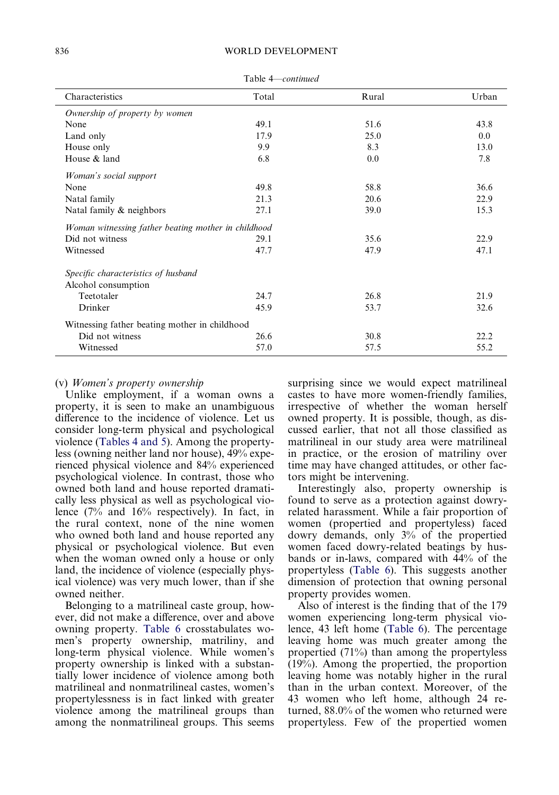| Characteristics                                     | Total | Rural | Urban |
|-----------------------------------------------------|-------|-------|-------|
| Ownership of property by women                      |       |       |       |
| None                                                | 49.1  | 51.6  | 43.8  |
| Land only                                           | 17.9  | 25.0  | 0.0   |
| House only                                          | 9.9   | 8.3   | 13.0  |
| House & land                                        | 6.8   | 0.0   | 7.8   |
| Woman's social support                              |       |       |       |
| None                                                | 49.8  | 58.8  | 36.6  |
| Natal family                                        | 21.3  | 20.6  | 22.9  |
| Natal family & neighbors                            | 27.1  | 39.0  | 15.3  |
| Woman witnessing father beating mother in childhood |       |       |       |
| Did not witness                                     | 29.1  | 35.6  | 22.9  |
| Witnessed                                           | 47.7  | 47.9  | 47.1  |
| Specific characteristics of husband                 |       |       |       |
| Alcohol consumption                                 |       |       |       |
| Teetotaler                                          | 24.7  | 26.8  | 21.9  |
| Drinker                                             | 45.9  | 53.7  | 32.6  |
| Witnessing father beating mother in childhood       |       |       |       |
| Did not witness                                     | 26.6  | 30.8  | 22.2  |
| Witnessed                                           | 57.0  | 57.5  | 55.2  |

Table 4—continued

## (v) Women's property ownership

Unlike employment, if a woman owns a property, it is seen to make an unambiguous difference to the incidence of violence. Let us consider long-term physical and psychological violence ([Tables 4 and 5](#page-12-0)). Among the propertyless (owning neither land nor house), 49% experienced physical violence and 84% experienced psychological violence. In contrast, those who owned both land and house reported dramatically less physical as well as psychological violence (7% and 16% respectively). In fact, in the rural context, none of the nine women who owned both land and house reported any physical or psychological violence. But even when the woman owned only a house or only land, the incidence of violence (especially physical violence) was very much lower, than if she owned neither.

Belonging to a matrilineal caste group, however, did not make a difference, over and above owning property. [Table 6](#page-15-0) crosstabulates women's property ownership, matriliny, and long-term physical violence. While women's property ownership is linked with a substantially lower incidence of violence among both matrilineal and nonmatrilineal castes, women's propertylessness is in fact linked with greater violence among the matrilineal groups than among the nonmatrilineal groups. This seems surprising since we would expect matrilineal castes to have more women-friendly families, irrespective of whether the woman herself owned property. It is possible, though, as discussed earlier, that not all those classified as matrilineal in our study area were matrilineal in practice, or the erosion of matriliny over time may have changed attitudes, or other factors might be intervening.

Interestingly also, property ownership is found to serve as a protection against dowryrelated harassment. While a fair proportion of women (propertied and propertyless) faced dowry demands, only 3% of the propertied women faced dowry-related beatings by husbands or in-laws, compared with 44% of the propertyless [\(Table 6\)](#page-15-0). This suggests another dimension of protection that owning personal property provides women.

Also of interest is the finding that of the 179 women experiencing long-term physical violence, 43 left home [\(Table 6\)](#page-15-0). The percentage leaving home was much greater among the propertied (71%) than among the propertyless (19%). Among the propertied, the proportion leaving home was notably higher in the rural than in the urban context. Moreover, of the 43 women who left home, although 24 returned, 88.0% of the women who returned were propertyless. Few of the propertied women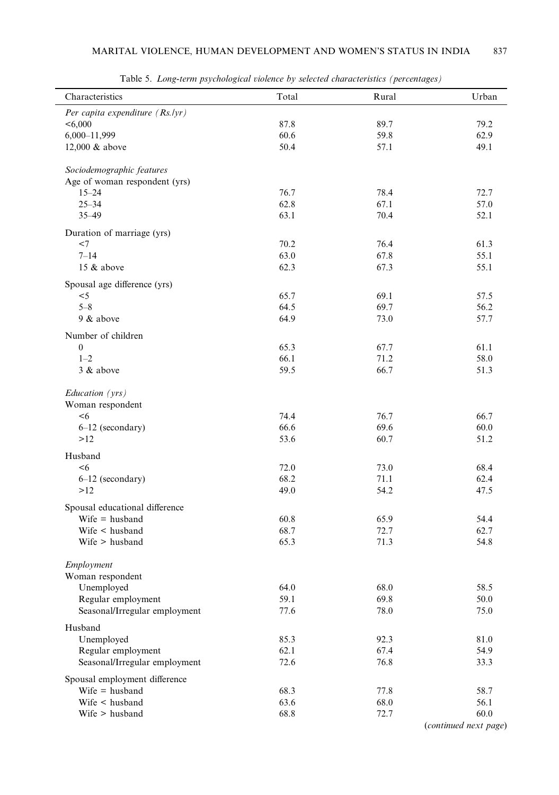| Characteristics                                     | Total | Rural        | Urban        |
|-----------------------------------------------------|-------|--------------|--------------|
| Per capita expenditure $(Rs. /yr)$                  |       |              |              |
| <6,000                                              | 87.8  | 89.7         | 79.2         |
| 6,000-11,999                                        | 60.6  | 59.8         | 62.9         |
| 12,000 & above                                      | 50.4  | 57.1         | 49.1         |
| Sociodemographic features                           |       |              |              |
| Age of woman respondent (yrs)                       |       |              |              |
| $15 - 24$                                           | 76.7  | 78.4         | 72.7         |
| $25 - 34$                                           | 62.8  | 67.1         | 57.0         |
| 35-49                                               | 63.1  | 70.4         | 52.1         |
| Duration of marriage (yrs)                          |       |              |              |
| $<$ 7                                               | 70.2  | 76.4         | 61.3         |
| $7 - 14$                                            | 63.0  | 67.8         | 55.1         |
| 15 & above                                          | 62.3  | 67.3         | 55.1         |
| Spousal age difference (yrs)                        |       |              |              |
| $<$ 5<br>$5 - 8$                                    | 65.7  | 69.1         | 57.5         |
|                                                     | 64.5  | 69.7         | 56.2         |
| 9 & above                                           | 64.9  | 73.0         | 57.7         |
| Number of children<br>$\overline{0}$                | 65.3  | 67.7         | 61.1         |
| $1 - 2$                                             | 66.1  | 71.2         | 58.0         |
| 3 & above                                           | 59.5  | 66.7         | 51.3         |
| Education (yrs)                                     |       |              |              |
| Woman respondent                                    |       |              |              |
| $6$                                                 | 74.4  | 76.7         | 66.7         |
| 6-12 (secondary)                                    | 66.6  | 69.6         | 60.0         |
| >12                                                 | 53.6  | 60.7         | 51.2         |
| Husband                                             |       |              |              |
| $6$                                                 | 72.0  | 73.0         | 68.4         |
| $6-12$ (secondary)                                  | 68.2  | 71.1         | 62.4         |
| >12                                                 | 49.0  | 54.2         | 47.5         |
| Spousal educational difference<br>$Wife = husband$  | 60.8  | 65.9         | 54.4         |
| Wife < husband                                      | 68.7  | 72.7         | 62.7         |
| Wife > husband                                      | 65.3  | 71.3         | 54.8         |
|                                                     |       |              |              |
| Employment<br>Woman respondent                      |       |              |              |
|                                                     | 64.0  | 68.0         | 58.5         |
| Unemployed                                          | 59.1  |              |              |
| Regular employment<br>Seasonal/Irregular employment | 77.6  | 69.8<br>78.0 | 50.0<br>75.0 |
| Husband                                             |       |              |              |
| Unemployed                                          | 85.3  | 92.3         | 81.0         |
| Regular employment                                  | 62.1  | 67.4         | 54.9         |
| Seasonal/Irregular employment                       | 72.6  | 76.8         | 33.3         |
| Spousal employment difference                       |       |              |              |
| $Wife = husband$                                    | 68.3  | 77.8         | 58.7         |
| Wife < husband                                      | 63.6  | 68.0         | 56.1         |
| Wife > husband                                      | 68.8  | 72.7         | 60.0         |
|                                                     |       |              |              |

Table 5. Long-term psychological violence by selected characteristics (percentages)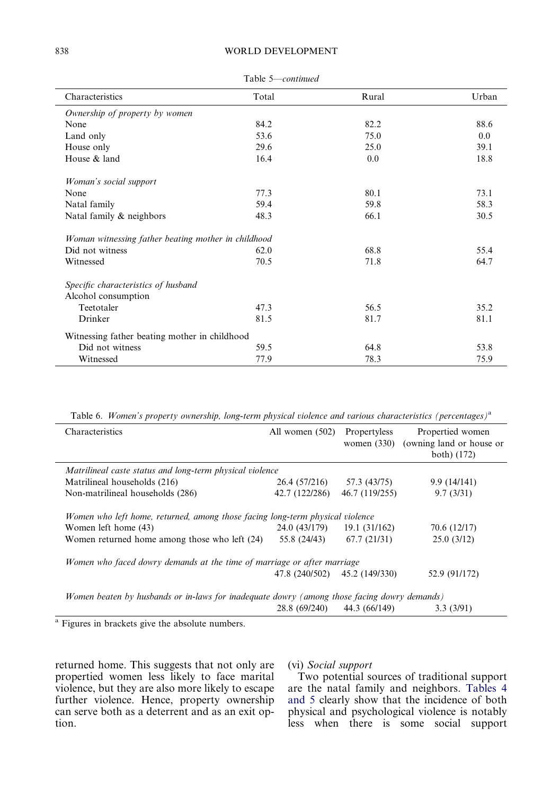<span id="page-15-0"></span>

| Characteristics                                     | Total | Rural | Urban |
|-----------------------------------------------------|-------|-------|-------|
| Ownership of property by women                      |       |       |       |
| None                                                | 84.2  | 82.2  | 88.6  |
| Land only                                           | 53.6  | 75.0  | 0.0   |
| House only                                          | 29.6  | 25.0  | 39.1  |
| House & land                                        | 16.4  | 0.0   | 18.8  |
| Woman's social support                              |       |       |       |
| None                                                | 77.3  | 80.1  | 73.1  |
| Natal family                                        | 59.4  | 59.8  | 58.3  |
| Natal family & neighbors                            | 48.3  | 66.1  | 30.5  |
| Woman witnessing father beating mother in childhood |       |       |       |
| Did not witness                                     | 62.0  | 68.8  | 55.4  |
| Witnessed                                           | 70.5  | 71.8  | 64.7  |
| Specific characteristics of husband                 |       |       |       |
| Alcohol consumption                                 |       |       |       |
| Teetotaler                                          | 47.3  | 56.5  | 35.2  |
| Drinker                                             | 81.5  | 81.7  | 81.1  |
| Witnessing father beating mother in childhood       |       |       |       |
| Did not witness                                     | 59.5  | 64.8  | 53.8  |
| Witnessed                                           | 77.9  | 78.3  | 75.9  |

Table 5—continued

Table 6. Women's property ownership, long-term physical violence and various characteristics (percentages)<sup>a</sup>

| Characteristics                                                                             | All women (502) | Propertyless<br>women $(330)$ | Propertied women<br>(owning land or house or<br>both) (172) |
|---------------------------------------------------------------------------------------------|-----------------|-------------------------------|-------------------------------------------------------------|
| Matrilineal caste status and long-term physical violence                                    |                 |                               |                                                             |
| Matrilineal households (216)                                                                | 26.4 (57/216)   | 57.3 (43/75)                  | 9.9(14/141)                                                 |
| Non-matrilineal households (286)                                                            | 42.7 (122/286)  | 46.7 (119/255)                | 9.7(3/31)                                                   |
| Women who left home, returned, among those facing long-term physical violence               |                 |                               |                                                             |
| Women left home (43)                                                                        | 24.0 (43/179)   | 19.1 (31/162)                 | 70.6 (12/17)                                                |
| Women returned home among those who left (24)                                               | 55.8 (24/43)    | 67.7(21/31)                   | 25.0(3/12)                                                  |
| Women who faced dowry demands at the time of marriage or after marriage                     |                 |                               |                                                             |
|                                                                                             | 47.8 (240/502)  | 45.2 (149/330)                | 52.9 (91/172)                                               |
| Women beaten by husbands or in-laws for inadequate dowry (among those facing dowry demands) |                 |                               |                                                             |
|                                                                                             | 28.8 (69/240)   | 44.3 (66/149)                 | 3.3(3/91)                                                   |

<sup>a</sup> Figures in brackets give the absolute numbers.

returned home. This suggests that not only are propertied women less likely to face marital violence, but they are also more likely to escape further violence. Hence, property ownership can serve both as a deterrent and as an exit option.

## (vi) Social support

Two potential sources of traditional support are the natal family and neighbors. [Tables 4](#page-12-0) [and 5](#page-12-0) clearly show that the incidence of both physical and psychological violence is notably less when there is some social support

 $\overline{a}$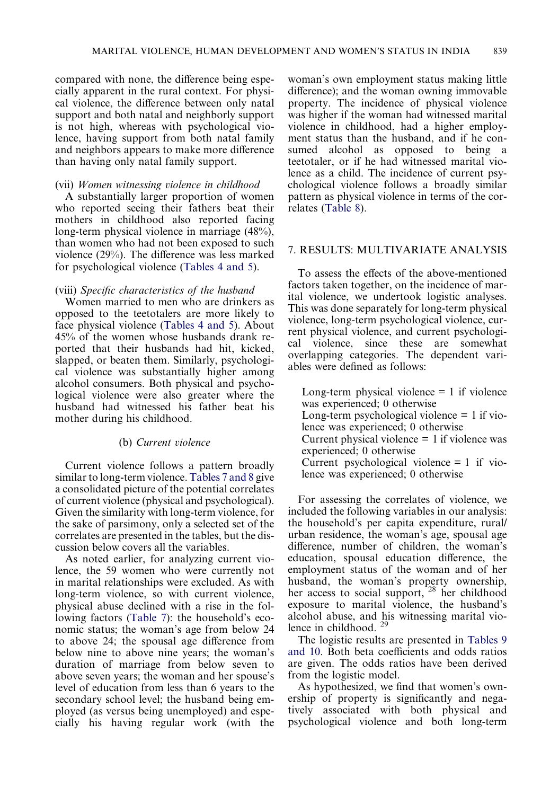compared with none, the difference being especially apparent in the rural context. For physical violence, the difference between only natal support and both natal and neighborly support is not high, whereas with psychological violence, having support from both natal family and neighbors appears to make more difference than having only natal family support.

## (vii) Women witnessing violence in childhood

A substantially larger proportion of women who reported seeing their fathers beat their mothers in childhood also reported facing long-term physical violence in marriage (48%), than women who had not been exposed to such violence (29%). The difference was less marked for psychological violence [\(Tables 4 and 5\)](#page-12-0).

## (viii) Specific characteristics of the husband

Women married to men who are drinkers as opposed to the teetotalers are more likely to face physical violence [\(Tables 4 and 5](#page-12-0)). About 45% of the women whose husbands drank reported that their husbands had hit, kicked, slapped, or beaten them. Similarly, psychological violence was substantially higher among alcohol consumers. Both physical and psychological violence were also greater where the husband had witnessed his father beat his mother during his childhood.

## (b) Current violence

Current violence follows a pattern broadly similar to long-term violence. [Tables 7 and 8](#page-17-0) give a consolidated picture of the potential correlates of current violence (physical and psychological). Given the similarity with long-term violence, for the sake of parsimony, only a selected set of the correlates are presented in the tables, but the discussion below covers all the variables.

As noted earlier, for analyzing current violence, the 59 women who were currently not in marital relationships were excluded. As with long-term violence, so with current violence, physical abuse declined with a rise in the following factors ([Table 7](#page-17-0)): the household's economic status; the woman's age from below 24 to above 24; the spousal age difference from below nine to above nine years; the woman's duration of marriage from below seven to above seven years; the woman and her spouse's level of education from less than 6 years to the secondary school level; the husband being employed (as versus being unemployed) and especially his having regular work (with the

woman's own employment status making little difference); and the woman owning immovable property. The incidence of physical violence was higher if the woman had witnessed marital violence in childhood, had a higher employment status than the husband, and if he consumed alcohol as opposed to being a teetotaler, or if he had witnessed marital violence as a child. The incidence of current psychological violence follows a broadly similar pattern as physical violence in terms of the correlates ([Table 8\)](#page-18-0).

## 7. RESULTS: MULTIVARIATE ANALYSIS

To assess the effects of the above-mentioned factors taken together, on the incidence of marital violence, we undertook logistic analyses. This was done separately for long-term physical violence, long-term psychological violence, current physical violence, and current psychological violence, since these are somewhat overlapping categories. The dependent variables were defined as follows:

Long-term physical violence  $= 1$  if violence was experienced; 0 otherwise Long-term psychological violence = 1 if violence was experienced; 0 otherwise Current physical violence  $= 1$  if violence was experienced; 0 otherwise Current psychological violence  $= 1$  if violence was experienced; 0 otherwise

For assessing the correlates of violence, we included the following variables in our analysis: the household's per capita expenditure, rural/ urban residence, the woman's age, spousal age difference, number of children, the woman's education, spousal education difference, the employment status of the woman and of her husband, the woman's property ownership, her access to social support,<sup>28</sup> her childhood exposure to marital violence, the husband's alcohol abuse, and his witnessing marital violence in childhood. <sup>29</sup>

The logistic results are presented in [Tables 9](#page-20-0) [and 10.](#page-20-0) Both beta coefficients and odds ratios are given. The odds ratios have been derived from the logistic model.

As hypothesized, we find that women's ownership of property is significantly and negatively associated with both physical and psychological violence and both long-term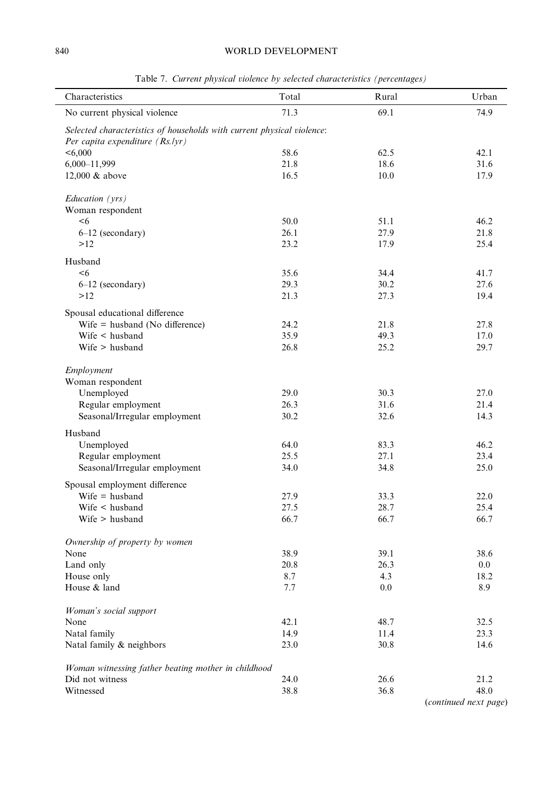<span id="page-17-0"></span>

| Characteristics                                                        | Total | Rural | Urban   |
|------------------------------------------------------------------------|-------|-------|---------|
| No current physical violence                                           | 71.3  | 69.1  | 74.9    |
| Selected characteristics of households with current physical violence: |       |       |         |
| Per capita expenditure (Rs./yr)                                        |       |       |         |
| <6,000                                                                 | 58.6  | 62.5  | 42.1    |
| 6,000-11,999                                                           | 21.8  | 18.6  | 31.6    |
| 12,000 & above                                                         | 16.5  | 10.0  | 17.9    |
| Education (yrs)                                                        |       |       |         |
| Woman respondent                                                       |       |       |         |
| <6                                                                     | 50.0  | 51.1  | 46.2    |
| 6-12 (secondary)                                                       | 26.1  | 27.9  | 21.8    |
| >12                                                                    | 23.2  | 17.9  | 25.4    |
| Husband                                                                |       |       |         |
| <6                                                                     | 35.6  | 34.4  | 41.7    |
| $6-12$ (secondary)                                                     | 29.3  | 30.2  | 27.6    |
| >12                                                                    | 21.3  | 27.3  | 19.4    |
| Spousal educational difference                                         |       |       |         |
| Wife $=$ husband (No difference)                                       | 24.2  | 21.8  | 27.8    |
|                                                                        |       |       |         |
| Wife < husband                                                         | 35.9  | 49.3  | 17.0    |
| Wife $>$ husband                                                       | 26.8  | 25.2  | 29.7    |
| Employment                                                             |       |       |         |
| Woman respondent                                                       |       |       |         |
| Unemployed                                                             | 29.0  | 30.3  | 27.0    |
| Regular employment                                                     | 26.3  | 31.6  | 21.4    |
| Seasonal/Irregular employment                                          | 30.2  | 32.6  | 14.3    |
| Husband                                                                |       |       |         |
| Unemployed                                                             | 64.0  | 83.3  | 46.2    |
| Regular employment                                                     | 25.5  | 27.1  | 23.4    |
| Seasonal/Irregular employment                                          | 34.0  | 34.8  | 25.0    |
| Spousal employment difference                                          |       |       |         |
| $Wife = husband$                                                       | 27.9  | 33.3  | 22.0    |
| Wife $\leq$ husband                                                    | 27.5  | 28.7  | 25.4    |
| Wife > husband                                                         | 66.7  | 66.7  | 66.7    |
| Ownership of property by women                                         |       |       |         |
| None                                                                   | 38.9  | 39.1  | 38.6    |
| Land only                                                              | 20.8  | 26.3  | $0.0\,$ |
| House only                                                             | 8.7   | 4.3   | 18.2    |
| House & land                                                           | 7.7   | 0.0   | 8.9     |
| Woman's social support                                                 |       |       |         |
| None                                                                   | 42.1  | 48.7  | 32.5    |
|                                                                        |       |       |         |
| Natal family                                                           | 14.9  | 11.4  | 23.3    |
| Natal family & neighbors                                               | 23.0  | 30.8  | 14.6    |
| Woman witnessing father beating mother in childhood                    |       |       |         |
| Did not witness                                                        | 24.0  | 26.6  | 21.2    |
| Witnessed                                                              | 38.8  | 36.8  | 48.0    |

Table 7. Current physical violence by selected characteristics (percentages)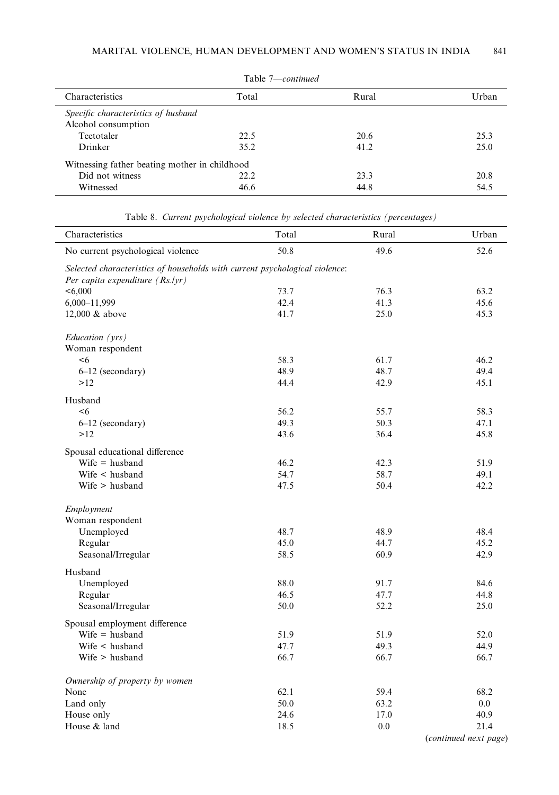<span id="page-18-0"></span>

| Characteristics                               | Total | Rural | Urban |
|-----------------------------------------------|-------|-------|-------|
| Specific characteristics of husband           |       |       |       |
| Alcohol consumption                           |       |       |       |
| Teetotaler                                    | 22.5  | 20.6  | 25.3  |
| Drinker                                       | 35.2  | 41.2  | 25.0  |
| Witnessing father beating mother in childhood |       |       |       |
| Did not witness                               | 22.2  | 23.3  | 20.8  |
| Witnessed                                     | 46.6  | 44.8  | 54.5  |

Table 7—continued

Table 8. Current psychological violence by selected characteristics (percentages)

| Characteristics                                                             | Total | Rural | Urban                 |
|-----------------------------------------------------------------------------|-------|-------|-----------------------|
| No current psychological violence                                           | 50.8  | 49.6  | 52.6                  |
| Selected characteristics of households with current psychological violence: |       |       |                       |
| Per capita expenditure $(Rs. / yr)$                                         |       |       |                       |
| <6.000                                                                      | 73.7  | 76.3  | 63.2                  |
| 6,000-11,999                                                                | 42.4  | 41.3  | 45.6                  |
| 12,000 & above                                                              | 41.7  | 25.0  | 45.3                  |
| Education (yrs)                                                             |       |       |                       |
| Woman respondent                                                            |       |       |                       |
| < 6                                                                         | 58.3  | 61.7  | 46.2                  |
| 6-12 (secondary)                                                            | 48.9  | 48.7  | 49.4                  |
| >12                                                                         | 44.4  | 42.9  | 45.1                  |
| Husband                                                                     |       |       |                       |
| < 6                                                                         | 56.2  | 55.7  | 58.3                  |
| 6-12 (secondary)                                                            | 49.3  | 50.3  | 47.1                  |
| >12                                                                         | 43.6  | 36.4  | 45.8                  |
| Spousal educational difference                                              |       |       |                       |
| $Wife = husband$                                                            | 46.2  | 42.3  | 51.9                  |
| Wife $\leq$ husband                                                         | 54.7  | 58.7  | 49.1                  |
| Wife $>$ husband                                                            | 47.5  | 50.4  | 42.2                  |
| Employment                                                                  |       |       |                       |
| Woman respondent                                                            |       |       |                       |
| Unemployed                                                                  | 48.7  | 48.9  | 48.4                  |
| Regular                                                                     | 45.0  | 44.7  | 45.2                  |
| Seasonal/Irregular                                                          | 58.5  | 60.9  | 42.9                  |
| Husband                                                                     |       |       |                       |
| Unemployed                                                                  | 88.0  | 91.7  | 84.6                  |
| Regular                                                                     | 46.5  | 47.7  | 44.8                  |
| Seasonal/Irregular                                                          | 50.0  | 52.2  | 25.0                  |
| Spousal employment difference                                               |       |       |                       |
| $Wife = husband$                                                            | 51.9  | 51.9  | 52.0                  |
| Wife $\leq$ husband                                                         | 47.7  | 49.3  | 44.9                  |
| Wife $>$ husband                                                            | 66.7  | 66.7  | 66.7                  |
| Ownership of property by women                                              |       |       |                       |
| None                                                                        | 62.1  | 59.4  | 68.2                  |
| Land only                                                                   | 50.0  | 63.2  | 0.0                   |
| House only                                                                  | 24.6  | 17.0  | 40.9                  |
| House & land                                                                | 18.5  | 0.0   | 21.4                  |
|                                                                             |       |       | (continued next page) |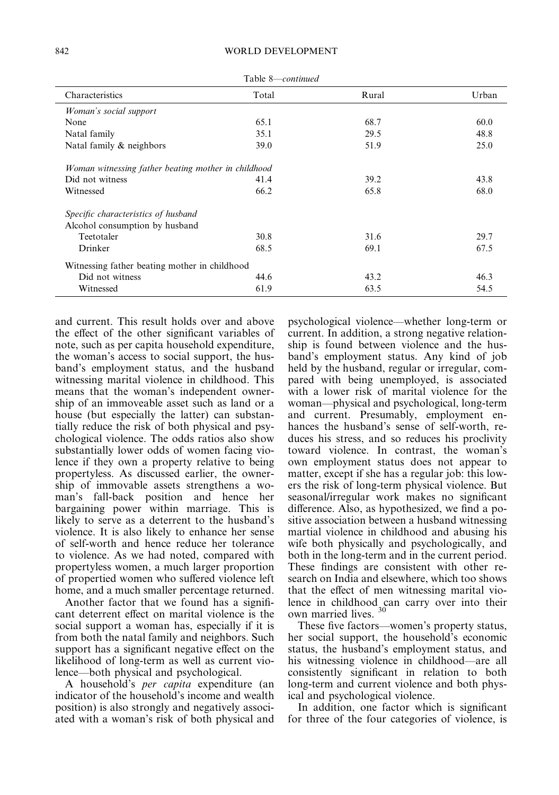| Characteristics                                     | Total | Rural | Urban |
|-----------------------------------------------------|-------|-------|-------|
|                                                     |       |       |       |
| Woman's social support                              |       |       |       |
| None                                                | 65.1  | 68.7  | 60.0  |
| Natal family                                        | 35.1  | 29.5  | 48.8  |
| Natal family & neighbors                            | 39.0  | 51.9  | 25.0  |
| Woman witnessing father beating mother in childhood |       |       |       |
| Did not witness                                     | 41.4  | 39.2  | 43.8  |
| Witnessed                                           | 66.2  | 65.8  | 68.0  |
| Specific characteristics of husband                 |       |       |       |
| Alcohol consumption by husband                      |       |       |       |
| Teetotaler                                          | 30.8  | 31.6  | 29.7  |
| Drinker                                             | 68.5  | 69.1  | 67.5  |
| Witnessing father beating mother in childhood       |       |       |       |
| Did not witness                                     | 44.6  | 43.2  | 46.3  |
| Witnessed                                           | 61.9  | 63.5  | 54.5  |

Table 8—continued

and current. This result holds over and above the effect of the other significant variables of note, such as per capita household expenditure, the woman's access to social support, the husband's employment status, and the husband witnessing marital violence in childhood. This means that the woman's independent ownership of an immoveable asset such as land or a house (but especially the latter) can substantially reduce the risk of both physical and psychological violence. The odds ratios also show substantially lower odds of women facing violence if they own a property relative to being propertyless. As discussed earlier, the ownership of immovable assets strengthens a woman's fall-back position and hence her bargaining power within marriage. This is likely to serve as a deterrent to the husband's violence. It is also likely to enhance her sense of self-worth and hence reduce her tolerance to violence. As we had noted, compared with propertyless women, a much larger proportion of propertied women who suffered violence left home, and a much smaller percentage returned.

Another factor that we found has a significant deterrent effect on marital violence is the social support a woman has, especially if it is from both the natal family and neighbors. Such support has a significant negative effect on the likelihood of long-term as well as current violence—both physical and psychological.

A household's per capita expenditure (an indicator of the household's income and wealth position) is also strongly and negatively associated with a woman's risk of both physical and psychological violence—whether long-term or current. In addition, a strong negative relationship is found between violence and the husband's employment status. Any kind of job held by the husband, regular or irregular, compared with being unemployed, is associated with a lower risk of marital violence for the woman—physical and psychological, long-term and current. Presumably, employment enhances the husband's sense of self-worth, reduces his stress, and so reduces his proclivity toward violence. In contrast, the woman's own employment status does not appear to matter, except if she has a regular job: this lowers the risk of long-term physical violence. But seasonal/irregular work makes no significant difference. Also, as hypothesized, we find a positive association between a husband witnessing martial violence in childhood and abusing his wife both physically and psychologically, and both in the long-term and in the current period. These findings are consistent with other research on India and elsewhere, which too shows that the effect of men witnessing marital violence in childhood can carry over into their own married lives. <sup>30</sup>

These five factors—women's property status, her social support, the household's economic status, the husband's employment status, and his witnessing violence in childhood—are all consistently significant in relation to both long-term and current violence and both physical and psychological violence.

In addition, one factor which is significant for three of the four categories of violence, is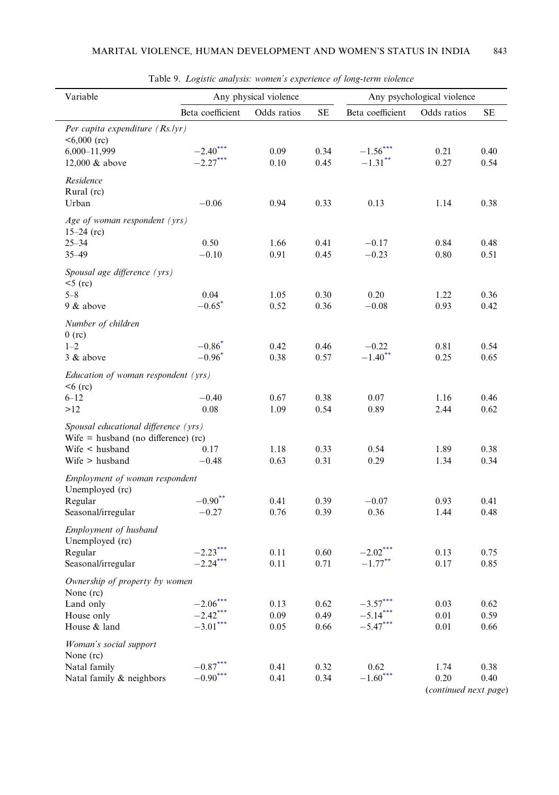<span id="page-20-0"></span>

| Variable                                          |                        | Any physical violence | Any psychological violence |                        |             |      |
|---------------------------------------------------|------------------------|-----------------------|----------------------------|------------------------|-------------|------|
|                                                   | Beta coefficient       | Odds ratios           | $SE$                       | Beta coefficient       | Odds ratios | SE   |
| Per capita expenditure $(Rs. /yr)$                |                        |                       |                            |                        |             |      |
| $<6,000$ (rc)                                     |                        |                       |                            |                        |             |      |
| 6,000-11,999                                      | $-2.40$ <sup>***</sup> | 0.09                  | 0.34                       | $-1.56***$             | 0.21        | 0.40 |
| 12,000 & above                                    | $-2.27***$             | 0.10                  | 0.45                       | $-1.31$ **             | 0.27        | 0.54 |
| Residence                                         |                        |                       |                            |                        |             |      |
| Rural (rc)                                        |                        |                       |                            |                        |             |      |
| Urban                                             | $-0.06$                | 0.94                  | 0.33                       | 0.13                   | 1.14        | 0.38 |
| Age of woman respondent (yrs)<br>$15-24$ (rc)     |                        |                       |                            |                        |             |      |
| $25 - 34$                                         | 0.50                   | 1.66                  | 0.41                       | $-0.17$                | 0.84        | 0.48 |
| $35 - 49$                                         | $-0.10$                | 0.91                  | 0.45                       | $-0.23$                | 0.80        | 0.51 |
| Spousal age difference (yrs)<br>$5$ (rc)          |                        |                       |                            |                        |             |      |
| $5 - 8$                                           | 0.04                   | 1.05                  | 0.30                       | 0.20                   | 1.22        | 0.36 |
| $9 \&$ above                                      | $-0.65*$               | 0.52                  | 0.36                       | $-0.08$                | 0.93        | 0.42 |
|                                                   |                        |                       |                            |                        |             |      |
| Number of children<br>$0$ (rc)                    |                        |                       |                            |                        |             |      |
| $1 - 2$                                           | $-0.86$ <sup>*</sup>   | 0.42                  | 0.46                       | $-0.22$                | 0.81        | 0.54 |
| 3 & above                                         | $-0.96*$               | 0.38                  | 0.57                       | $-1.40$ <sup>**</sup>  | 0.25        | 0.65 |
|                                                   |                        |                       |                            |                        |             |      |
| Education of woman respondent (yrs)<br>$<$ 6 (rc) |                        |                       |                            |                        |             |      |
| $6 - 12$                                          | $-0.40$                | 0.67                  | 0.38                       | 0.07                   | 1.16        | 0.46 |
| >12                                               | 0.08                   | 1.09                  | 0.54                       | 0.89                   | 2.44        | 0.62 |
| Spousal educational difference (yrs)              |                        |                       |                            |                        |             |      |
| Wife $=$ husband (no difference) (rc)             |                        |                       |                            |                        |             |      |
| Wife < husband                                    | 0.17                   | 1.18                  | 0.33                       | 0.54                   | 1.89        | 0.38 |
| Wife > husband                                    | $-0.48$                | 0.63                  | 0.31                       | 0.29                   | 1.34        | 0.34 |
| Employment of woman respondent                    |                        |                       |                            |                        |             |      |
| Unemployed (rc)                                   |                        |                       |                            |                        |             |      |
| Regular                                           | $-0.90$ **             | 0.41                  | 0.39                       | $-0.07$                | 0.93        | 0.41 |
| Seasonal/irregular                                | $-0.27$                | 0.76                  | 0.39                       | 0.36                   | 1.44        | 0.48 |
| Employment of husband                             |                        |                       |                            |                        |             |      |
| Unemployed (rc)<br>Regular                        | $-2.23$ **             | 0.11                  | 0.60                       | $-2.02$ <sup>***</sup> | 0.13        | 0.75 |
| Seasonal/irregular                                | $-2.24***$             | 0.11                  | 0.71                       | $-1.77$ **             | 0.17        | 0.85 |
|                                                   |                        |                       |                            |                        |             |      |
| Ownership of property by women                    |                        |                       |                            |                        |             |      |
| None (rc)<br>Land only                            | $-2.06***$             | 0.13                  | 0.62                       | $-3.57***$             | 0.03        | 0.62 |
| House only                                        | $-2.42***$             | 0.09                  | 0.49                       | $-5.14***$             | $0.01\,$    | 0.59 |
| House & land                                      | $-3.01***$             | 0.05                  | 0.66                       | $-5.47***$             | 0.01        | 0.66 |
|                                                   |                        |                       |                            |                        |             |      |
| Woman's social support<br>None (rc)               |                        |                       |                            |                        |             |      |
| Natal family                                      | $-0.87***$             | 0.41                  | 0.32                       | 0.62                   | 1.74        | 0.38 |
| Natal family & neighbors                          | $-0.90***$             | 0.41                  | 0.34                       | $-1.60$ ***            | 0.20        | 0.40 |

Table 9. Logistic analysis: women's experience of long-term violence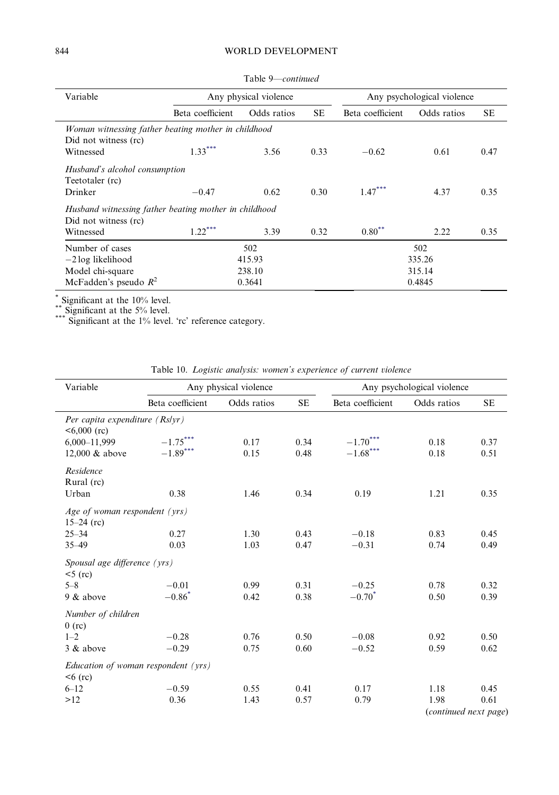<span id="page-21-0"></span>

| Variable                                              |                  | Any physical violence    |      | Any psychological violence |             |           |  |
|-------------------------------------------------------|------------------|--------------------------|------|----------------------------|-------------|-----------|--|
|                                                       | Beta coefficient | <b>SE</b><br>Odds ratios |      | Beta coefficient           | Odds ratios | <b>SE</b> |  |
| Woman witnessing father beating mother in childhood   |                  |                          |      |                            |             |           |  |
| Did not witness (rc)                                  |                  |                          |      |                            |             |           |  |
| Witnessed                                             | $1.33***$        | 3.56                     | 0.33 | $-0.62$                    | 0.61        | 0.47      |  |
| Husband's alcohol consumption                         |                  |                          |      |                            |             |           |  |
| Teetotaler (rc)                                       |                  |                          |      |                            |             |           |  |
| Drinker                                               | $-0.47$          | 0.62                     | 0.30 | 1.47                       | 4.37        | 0.35      |  |
| Husband witnessing father beating mother in childhood |                  |                          |      |                            |             |           |  |
| Did not witness (rc)                                  |                  |                          |      |                            |             |           |  |
| Witnessed                                             | $1.22***$        | 3.39                     | 0.32 | $0.80^{*}$                 | 2.22        | 0.35      |  |
| Number of cases                                       | 502              |                          |      | 502                        |             |           |  |
| $-2 \log$ likelihood                                  | 415.93           |                          |      | 335.26                     |             |           |  |
| Model chi-square                                      | 238.10           |                          |      | 315.14                     |             |           |  |
| McFadden's pseudo $R^2$                               | 0.3641<br>0.4845 |                          |      |                            |             |           |  |

Table 9—continued

\* Significant at the 10% level.<br>\*\* Significant at the 5% level.<br>\*\*\* Significant at the 1% level. 'rc' reference category.

|  |  |  |  |  | Table 10. Logistic analysis: women's experience of current violence |  |  |  |
|--|--|--|--|--|---------------------------------------------------------------------|--|--|--|
|--|--|--|--|--|---------------------------------------------------------------------|--|--|--|

| Variable                        |                                     | Any physical violence |      |                  | Any psychological violence |           |  |
|---------------------------------|-------------------------------------|-----------------------|------|------------------|----------------------------|-----------|--|
|                                 | Beta coefficient                    | Odds ratios           | SE   | Beta coefficient | Odds ratios                | <b>SE</b> |  |
| Per capita expenditure (Rs/yr)  |                                     |                       |      |                  |                            |           |  |
| $<6,000$ (rc)                   |                                     |                       |      |                  |                            |           |  |
| 6.000-11.999                    | $-1.75***$                          | 0.17                  | 0.34 | $-1.70***$       | 0.18                       | 0.37      |  |
| 12,000 & above                  | $-1.89***$                          | 0.15                  | 0.48 | $-1.68$ ***      | 0.18                       | 0.51      |  |
| Residence                       |                                     |                       |      |                  |                            |           |  |
| Rural (rc)                      |                                     |                       |      |                  |                            |           |  |
| Urban                           | 0.38                                | 1.46                  | 0.34 | 0.19             | 1.21                       | 0.35      |  |
| Age of woman respondent $(yrs)$ |                                     |                       |      |                  |                            |           |  |
| $15-24$ (rc)                    |                                     |                       |      |                  |                            |           |  |
| $25 - 34$                       | 0.27                                | 1.30                  | 0.43 | $-0.18$          | 0.83                       | 0.45      |  |
| $35 - 49$                       | 0.03                                | 1.03                  | 0.47 | $-0.31$          | 0.74                       | 0.49      |  |
| Spousal age difference (yrs)    |                                     |                       |      |                  |                            |           |  |
| $5$ (rc)                        |                                     |                       |      |                  |                            |           |  |
| $5 - 8$                         | $-0.01$                             | 0.99                  | 0.31 | $-0.25$          | 0.78                       | 0.32      |  |
| 9 & above                       | $-0.86*$                            | 0.42                  | 0.38 | $-0.70^*$        | 0.50                       | 0.39      |  |
| Number of children              |                                     |                       |      |                  |                            |           |  |
| $0$ (rc)                        |                                     |                       |      |                  |                            |           |  |
| $1 - 2$                         | $-0.28$                             | 0.76                  | 0.50 | $-0.08$          | 0.92                       | 0.50      |  |
| 3 & above                       | $-0.29$                             | 0.75                  | 0.60 | $-0.52$          | 0.59                       | 0.62      |  |
|                                 | Education of woman respondent (yrs) |                       |      |                  |                            |           |  |
| $<$ 6 (rc)                      |                                     |                       |      |                  |                            |           |  |
| $6 - 12$                        | $-0.59$                             | 0.55                  | 0.41 | 0.17             | 1.18                       | 0.45      |  |
| >12                             | 0.36                                | 1.43                  | 0.57 | 0.79             | 1.98                       | 0.61      |  |
|                                 |                                     |                       |      |                  | (continued next page)      |           |  |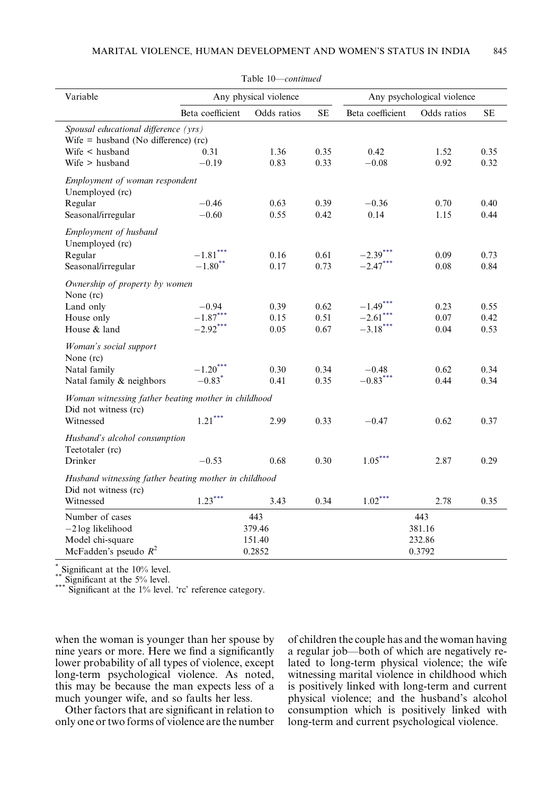<span id="page-22-0"></span>

| Variable                                                                      | Any physical violence   |              |              | Any psychological violence |              |              |  |
|-------------------------------------------------------------------------------|-------------------------|--------------|--------------|----------------------------|--------------|--------------|--|
|                                                                               | Beta coefficient        | Odds ratios  | <b>SE</b>    | Beta coefficient           | Odds ratios  | <b>SE</b>    |  |
| Spousal educational difference (yrs)                                          |                         |              |              |                            |              |              |  |
| Wife = husband (No difference) $(rc)$                                         |                         |              |              |                            |              |              |  |
| Wife < husband                                                                | 0.31                    | 1.36         | 0.35         | 0.42                       | 1.52         | 0.35         |  |
| Wife > husband                                                                | $-0.19$                 | 0.83         | 0.33         | $-0.08$                    | 0.92         | 0.32         |  |
| Employment of woman respondent<br>Unemployed (rc)                             |                         |              |              |                            |              |              |  |
| Regular                                                                       | $-0.46$                 | 0.63         | 0.39         | $-0.36$                    | 0.70         | 0.40         |  |
| Seasonal/irregular                                                            | $-0.60$                 | 0.55         | 0.42         | 0.14                       | 1.15         | 0.44         |  |
| Employment of husband<br>Unemployed (rc)                                      |                         |              |              |                            |              |              |  |
| Regular                                                                       | $-1.81$ ***             | 0.16         | 0.61         | $-2.39***$                 | 0.09         | 0.73         |  |
| Seasonal/irregular                                                            | $-1.80$ **              | 0.17         | 0.73         | $-2.47***$                 | 0.08         | 0.84         |  |
| Ownership of property by women<br>None (rc)<br>Land only<br>House only        | $-0.94$<br>$-1.87***$   | 0.39<br>0.15 | 0.62<br>0.51 | $-1.49***$<br>$-2.61***$   | 0.23<br>0.07 | 0.55<br>0.42 |  |
| House & land                                                                  | $-2.92***$              | 0.05         | 0.67         | $-3.18***$                 | 0.04         | 0.53         |  |
| Woman's social support<br>None (rc)                                           |                         |              |              |                            |              |              |  |
| Natal family                                                                  | $-1.20***$              | 0.30         | 0.34         | $-0.48$                    | 0.62         | 0.34         |  |
| Natal family & neighbors                                                      | $-0.83$ <sup>*</sup>    | 0.41         | 0.35         | $-0.83***$                 | 0.44         | 0.34         |  |
| Woman witnessing father beating mother in childhood<br>Did not witness (rc)   |                         |              |              |                            |              |              |  |
| Witnessed                                                                     | $1.21***$               | 2.99         | 0.33         | $-0.47$                    | 0.62         | 0.37         |  |
| Husband's alcohol consumption<br>Teetotaler (rc)                              |                         |              |              |                            |              |              |  |
| Drinker                                                                       | $-0.53$                 | 0.68         | 0.30         | $1.05***$                  | 2.87         | 0.29         |  |
| Husband witnessing father beating mother in childhood<br>Did not witness (rc) |                         |              |              |                            |              |              |  |
| Witnessed                                                                     | $1.23***$               | 3.43         | 0.34         | $1.02***$                  | 2.78         | 0.35         |  |
| Number of cases<br>$-2 \log$ likelihood<br>Model chi-square                   | 443<br>379.46<br>151.40 |              |              | 443<br>381.16<br>232.86    |              |              |  |
| McFadden's pseudo $R^2$                                                       |                         | 0.2852       | 0.3792       |                            |              |              |  |

Table 10—continued

\* Significant at the 10% level. \*\* Significant at the 5% level. \*\*\* Significant at the 1% level. rc' reference category.

when the woman is younger than her spouse by nine years or more. Here we find a significantly lower probability of all types of violence, except long-term psychological violence. As noted, this may be because the man expects less of a much younger wife, and so faults her less.

Other factors that are significant in relation to only one or two forms of violence are the number of children the couple has and the woman having a regular job—both of which are negatively related to long-term physical violence; the wife witnessing marital violence in childhood which is positively linked with long-term and current physical violence; and the husband's alcohol consumption which is positively linked with long-term and current psychological violence.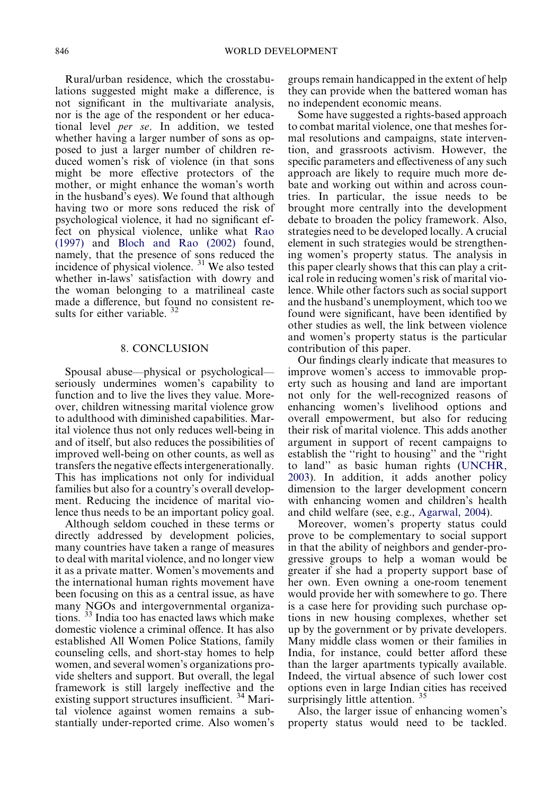Rural/urban residence, which the crosstabulations suggested might make a difference, is not significant in the multivariate analysis, nor is the age of the respondent or her educational level per se. In addition, we tested whether having a larger number of sons as opposed to just a larger number of children reduced women's risk of violence (in that sons might be more effective protectors of the mother, or might enhance the woman's worth in the husband's eyes). We found that although having two or more sons reduced the risk of psychological violence, it had no significant effect on physical violence, unlike what [Rao](#page-27-0) [\(1997\)](#page-27-0) and [Bloch and Rao \(2002\)](#page-26-0) found, namely, that the presence of sons reduced the incidence of physical violence. <sup>31</sup> We also tested whether in-laws' satisfaction with dowry and the woman belonging to a matrilineal caste made a difference, but found no consistent results for either variable  $32$ 

## 8. CONCLUSION

Spousal abuse—physical or psychological seriously undermines women's capability to function and to live the lives they value. Moreover, children witnessing marital violence grow to adulthood with diminished capabilities. Marital violence thus not only reduces well-being in and of itself, but also reduces the possibilities of improved well-being on other counts, as well as transfers the negative effects intergenerationally. This has implications not only for individual families but also for a country's overall development. Reducing the incidence of marital violence thus needs to be an important policy goal.

Although seldom couched in these terms or directly addressed by development policies, many countries have taken a range of measures to deal with marital violence, and no longer view it as a private matter. Women's movements and the international human rights movement have been focusing on this as a central issue, as have many NGOs and intergovernmental organizations. <sup>33</sup> India too has enacted laws which make domestic violence a criminal offence. It has also established All Women Police Stations, family counseling cells, and short-stay homes to help women, and several women's organizations provide shelters and support. But overall, the legal framework is still largely ineffective and the existing support structures insufficient.<sup>34</sup> Marital violence against women remains a substantially under-reported crime. Also women's

groups remain handicapped in the extent of help they can provide when the battered woman has no independent economic means.

Some have suggested a rights-based approach to combat marital violence, one that meshes formal resolutions and campaigns, state intervention, and grassroots activism. However, the specific parameters and effectiveness of any such approach are likely to require much more debate and working out within and across countries. In particular, the issue needs to be brought more centrally into the development debate to broaden the policy framework. Also, strategies need to be developed locally. A crucial element in such strategies would be strengthening women's property status. The analysis in this paper clearly shows that this can play a critical role in reducing women's risk of marital violence. While other factors such as social support and the husband's unemployment, which too we found were significant, have been identified by other studies as well, the link between violence and women's property status is the particular contribution of this paper.

Our findings clearly indicate that measures to improve women's access to immovable property such as housing and land are important not only for the well-recognized reasons of enhancing women's livelihood options and overall empowerment, but also for reducing their risk of marital violence. This adds another argument in support of recent campaigns to establish the ''right to housing'' and the ''right to land'' as basic human rights ([UNCHR,](#page-27-0) [2003](#page-27-0)). In addition, it adds another policy dimension to the larger development concern with enhancing women and children's health and child welfare (see, e.g., [Agarwal, 2004\)](#page-25-0).

Moreover, women's property status could prove to be complementary to social support in that the ability of neighbors and gender-progressive groups to help a woman would be greater if she had a property support base of her own. Even owning a one-room tenement would provide her with somewhere to go. There is a case here for providing such purchase options in new housing complexes, whether set up by the government or by private developers. Many middle class women or their families in India, for instance, could better afford these than the larger apartments typically available. Indeed, the virtual absence of such lower cost options even in large Indian cities has received surprisingly little attention.<sup>35</sup>

Also, the larger issue of enhancing women's property status would need to be tackled.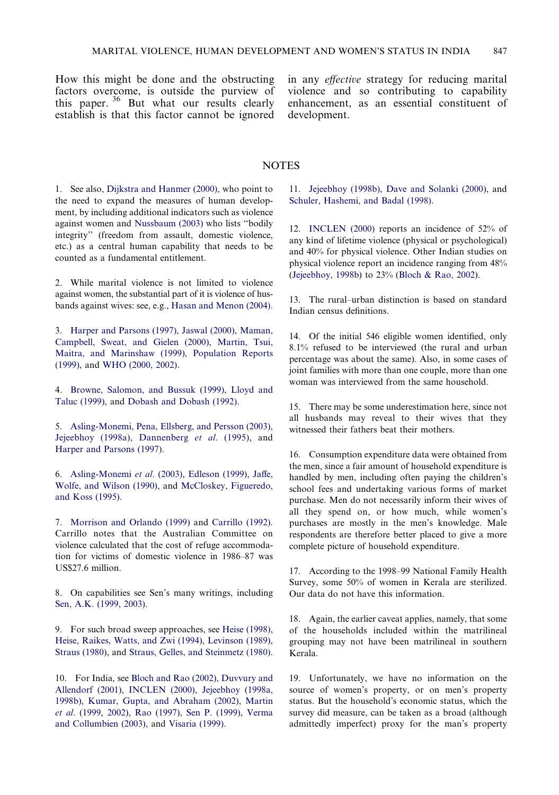How this might be done and the obstructing factors overcome, is outside the purview of this paper. <sup>36</sup> But what our results clearly establish is that this factor cannot be ignored in any effective strategy for reducing marital violence and so contributing to capability enhancement, as an essential constituent of development.

## **NOTES**

1. See also, [Dijkstra and Hanmer \(2000\),](#page-26-0) who point to the need to expand the measures of human development, by including additional indicators such as violence against women and [Nussbaum \(2003\)](#page-27-0) who lists ''bodily integrity'' (freedom from assault, domestic violence, etc.) as a central human capability that needs to be counted as a fundamental entitlement.

2. While marital violence is not limited to violence against women, the substantial part of it is violence of husbands against wives: see, e.g., [Hasan and Menon \(2004\)](#page-26-0).

3. [Harper and Parsons \(1997\)](#page-26-0), [Jaswal \(2000\),](#page-26-0) [Maman,](#page-26-0) [Campbell, Sweat, and Gielen \(2000\)](#page-26-0), [Martin, Tsui,](#page-26-0) [Maitra, and Marinshaw \(1999\)](#page-26-0), [Population Reports](#page-27-0) [\(1999\)](#page-27-0), and [WHO \(2000, 2002\).](#page-27-0)

4. [Browne, Salomon, and Bussuk \(1999\),](#page-26-0) [Lloyd and](#page-26-0) [Taluc \(1999\)](#page-26-0), and [Dobash and Dobash \(1992\).](#page-26-0)

5. [Asling-Monemi, Pena, Ellsberg, and Persson \(2003\)](#page-26-0), [Jejeebhoy \(1998a\),](#page-26-0) [Dannenberg](#page-26-0) et al. (1995), and [Harper and Parsons \(1997\)](#page-26-0).

6. [Asling-Monemi](#page-26-0) et al. (2003), [Edleson \(1999\),](#page-26-0) [Jaffe,](#page-26-0) [Wolfe, and Wilson \(1990\)](#page-26-0), and [McCloskey, Figueredo,](#page-26-0) [and Koss \(1995\)](#page-26-0).

7. [Morrison and Orlando \(1999\)](#page-27-0) and [Carrillo \(1992\)](#page-26-0). Carrillo notes that the Australian Committee on violence calculated that the cost of refuge accommodation for victims of domestic violence in 1986–87 was US\$27.6 million.

8. On capabilities see Sen's many writings, including [Sen, A.K. \(1999, 2003\).](#page-27-0)

9. For such broad sweep approaches, see [Heise \(1998\)](#page-26-0), [Heise, Raikes, Watts, and Zwi \(1994\),](#page-26-0) [Levinson \(1989\)](#page-26-0), [Straus \(1980\)](#page-27-0), and [Straus, Gelles, and Steinmetz \(1980\)](#page-27-0).

10. For India, see [Bloch and Rao \(2002\)](#page-26-0), [Duvvury and](#page-26-0) [Allendorf \(2001\)](#page-26-0), [INCLEN \(2000\)](#page-26-0), [Jejeebhoy \(1998a,](#page-26-0) [1998b\)](#page-26-0), [Kumar, Gupta, and Abraham \(2002\),](#page-26-0) [Martin](#page-26-0) et al[. \(1999, 2002\)](#page-26-0), [Rao \(1997\)](#page-27-0), [Sen P. \(1999\),](#page-27-0) [Verma](#page-27-0) [and Collumbien \(2003\)](#page-27-0), and [Visaria \(1999\)](#page-27-0).

11. [Jejeebhoy \(1998b\),](#page-26-0) [Dave and Solanki \(2000\),](#page-26-0) and [Schuler, Hashemi, and Badal \(1998\).](#page-27-0)

12. [INCLEN \(2000\)](#page-26-0) reports an incidence of 52% of any kind of lifetime violence (physical or psychological) and 40% for physical violence. Other Indian studies on physical violence report an incidence ranging from 48% [\(Jejeebhoy, 1998b](#page-26-0)) to 23% [\(Bloch & Rao, 2002\)](#page-26-0).

13. The rural–urban distinction is based on standard Indian census definitions.

14. Of the initial 546 eligible women identified, only 8.1% refused to be interviewed (the rural and urban percentage was about the same). Also, in some cases of joint families with more than one couple, more than one woman was interviewed from the same household.

15. There may be some underestimation here, since not all husbands may reveal to their wives that they witnessed their fathers beat their mothers.

16. Consumption expenditure data were obtained from the men, since a fair amount of household expenditure is handled by men, including often paying the children's school fees and undertaking various forms of market purchase. Men do not necessarily inform their wives of all they spend on, or how much, while women's purchases are mostly in the men's knowledge. Male respondents are therefore better placed to give a more complete picture of household expenditure.

17. According to the 1998–99 National Family Health Survey, some 50% of women in Kerala are sterilized. Our data do not have this information.

18. Again, the earlier caveat applies, namely, that some of the households included within the matrilineal grouping may not have been matrilineal in southern Kerala.

19. Unfortunately, we have no information on the source of women's property, or on men's property status. But the household's economic status, which the survey did measure, can be taken as a broad (although admittedly imperfect) proxy for the man's property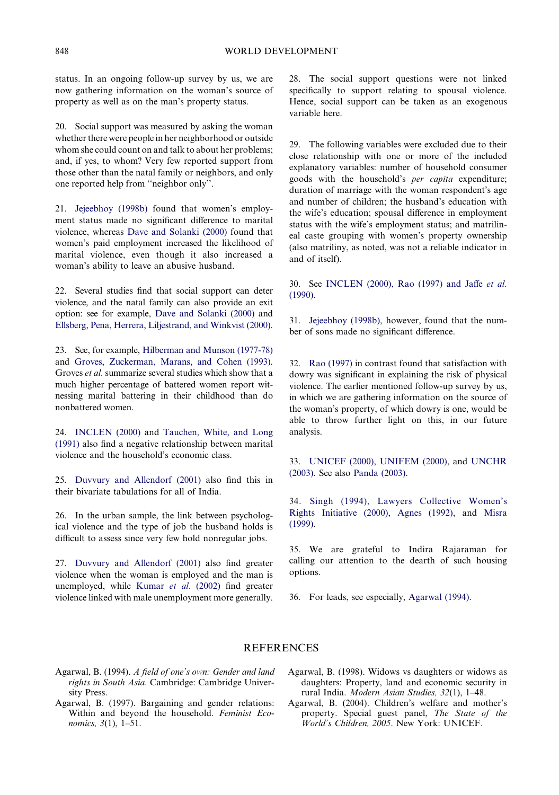<span id="page-25-0"></span>status. In an ongoing follow-up survey by us, we are now gathering information on the woman's source of property as well as on the man's property status.

20. Social support was measured by asking the woman whether there were people in her neighborhood or outside whom she could count on and talk to about her problems; and, if yes, to whom? Very few reported support from those other than the natal family or neighbors, and only one reported help from ''neighbor only''.

21. [Jejeebhoy \(1998b\)](#page-26-0) found that women's employment status made no significant difference to marital violence, whereas [Dave and Solanki \(2000\)](#page-26-0) found that women's paid employment increased the likelihood of marital violence, even though it also increased a woman's ability to leave an abusive husband.

22. Several studies find that social support can deter violence, and the natal family can also provide an exit option: see for example, [Dave and Solanki \(2000\)](#page-26-0) and [Ellsberg, Pena, Herrera, Liljestrand, and Winkvist \(2000\)](#page-26-0).

23. See, for example, [Hilberman and Munson \(1977-78\)](#page-26-0) and [Groves, Zuckerman, Marans, and Cohen \(1993\)](#page-26-0). Groves et al. summarize several studies which show that a much higher percentage of battered women report witnessing marital battering in their childhood than do nonbattered women.

24. [INCLEN \(2000\)](#page-26-0) and [Tauchen, White, and Long](#page-27-0) [\(1991\)](#page-27-0) also find a negative relationship between marital violence and the household's economic class.

25. [Duvvury and Allendorf \(2001\)](#page-26-0) also find this in their bivariate tabulations for all of India.

26. In the urban sample, the link between psychological violence and the type of job the husband holds is difficult to assess since very few hold nonregular jobs.

27. [Duvvury and Allendorf \(2001\)](#page-26-0) also find greater violence when the woman is employed and the man is unemployed, while Kumar et al[. \(2002\)](#page-26-0) find greater violence linked with male unemployment more generally. 28. The social support questions were not linked specifically to support relating to spousal violence. Hence, social support can be taken as an exogenous variable here.

29. The following variables were excluded due to their close relationship with one or more of the included explanatory variables: number of household consumer goods with the household's per capita expenditure; duration of marriage with the woman respondent's age and number of children; the husband's education with the wife's education; spousal difference in employment status with the wife's employment status; and matrilineal caste grouping with women's property ownership (also matriliny, as noted, was not a reliable indicator in and of itself).

30. See [INCLEN \(2000\), Rao \(1997\) and Jaffe](#page-26-0) et al. [\(1990\).](#page-26-0)

31. [Jejeebhoy \(1998b\),](#page-26-0) however, found that the number of sons made no significant difference.

32. [Rao \(1997\)](#page-27-0) in contrast found that satisfaction with dowry was significant in explaining the risk of physical violence. The earlier mentioned follow-up survey by us, in which we are gathering information on the source of the woman's property, of which dowry is one, would be able to throw further light on this, in our future analysis.

33. [UNICEF \(2000\)](#page-27-0), [UNIFEM \(2000\)](#page-27-0), and [UNCHR](#page-27-0) [\(2003\).](#page-27-0) See also [Panda \(2003\)](#page-27-0).

34. [Singh \(1994\), Lawyers Collective Women's](#page-27-0) [Rights Initiative \(2000\), Agnes \(1992\)](#page-27-0), and [Misra](#page-26-0) [\(1999\).](#page-26-0)

35. We are grateful to Indira Rajaraman for calling our attention to the dearth of such housing options.

36. For leads, see especially, Agarwal (1994).

#### REFERENCES

- Agarwal, B. (1994). A field of one's own: Gender and land rights in South Asia. Cambridge: Cambridge University Press.
- Agarwal, B. (1997). Bargaining and gender relations: Within and beyond the household. Feminist Economics, 3(1), 1–51.
- Agarwal, B. (1998). Widows vs daughters or widows as daughters: Property, land and economic security in rural India. Modern Asian Studies, 32(1), 1–48.
- Agarwal, B. (2004). Children's welfare and mother's property. Special guest panel, The State of the World's Children, 2005. New York: UNICEF.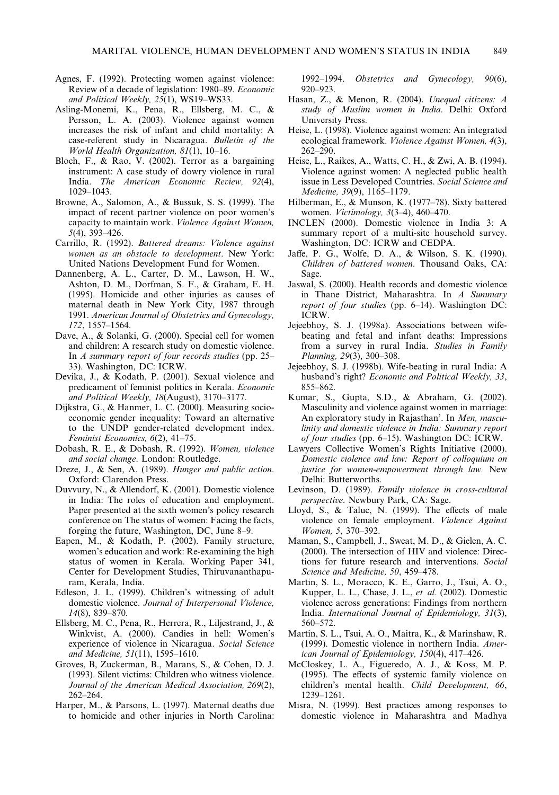- <span id="page-26-0"></span>Agnes, F. (1992). Protecting women against violence: Review of a decade of legislation: 1980–89. Economic and Political Weekly, 25(1), WS19–WS33.
- Asling-Monemi, K., Pena, R., Ellsberg, M. C., & Persson, L. A. (2003). Violence against women increases the risk of infant and child mortality: A case-referent study in Nicaragua. Bulletin of the World Health Organization, 81(1), 10–16.
- Bloch, F., & Rao, V. (2002). Terror as a bargaining instrument: A case study of dowry violence in rural India. The American Economic Review, 92(4), 1029–1043.
- Browne, A., Salomon, A., & Bussuk, S. S. (1999). The impact of recent partner violence on poor women's capacity to maintain work. Violence Against Women, 5(4), 393–426.
- Carrillo, R. (1992). Battered dreams: Violence against women as an obstacle to development. New York: United Nations Development Fund for Women.
- Dannenberg, A. L., Carter, D. M., Lawson, H. W., Ashton, D. M., Dorfman, S. F., & Graham, E. H. (1995). Homicide and other injuries as causes of maternal death in New York City, 1987 through 1991. American Journal of Obstetrics and Gynecology, 172, 1557–1564.
- Dave, A., & Solanki, G. (2000). Special cell for women and children: A research study on domestic violence. In A summary report of four records studies (pp. 25– 33). Washington, DC: ICRW.
- Devika, J., & Kodath, P. (2001). Sexual violence and predicament of feminist politics in Kerala. Economic and Political Weekly, 18(August), 3170–3177.
- Dijkstra, G., & Hanmer, L. C. (2000). Measuring socioeconomic gender inequality: Toward an alternative to the UNDP gender-related development index. Feminist Economics, 6(2), 41–75.
- Dobash, R. E., & Dobash, R. (1992). Women, violence and social change. London: Routledge.
- Dreze, J., & Sen, A. (1989). Hunger and public action. Oxford: Clarendon Press.
- Duvvury, N., & Allendorf, K. (2001). Domestic violence in India: The roles of education and employment. Paper presented at the sixth women's policy research conference on The status of women: Facing the facts, forging the future, Washington, DC, June 8–9.
- Eapen, M., & Kodath, P. (2002). Family structure, women's education and work: Re-examining the high status of women in Kerala. Working Paper 341, Center for Development Studies, Thiruvananthapuram, Kerala, India.
- Edleson, J. L. (1999). Children's witnessing of adult domestic violence. Journal of Interpersonal Violence, 14(8), 839–870.
- Ellsberg, M. C., Pena, R., Herrera, R., Liljestrand, J., & Winkvist, A. (2000). Candies in hell: Women's experience of violence in Nicaragua. Social Science and Medicine, 51(11), 1595–1610.
- Groves, B, Zuckerman, B., Marans, S., & Cohen, D. J. (1993). Silent victims: Children who witness violence. Journal of the American Medical Association, 269(2), 262–264.
- Harper, M., & Parsons, L. (1997). Maternal deaths due to homicide and other injuries in North Carolina:

1992–1994. Obstetrics and Gynecology, 90(6), 920–923.

- Hasan, Z., & Menon, R. (2004). Unequal citizens: A study of Muslim women in India. Delhi: Oxford University Press.
- Heise, L. (1998). Violence against women: An integrated ecological framework. Violence Against Women, 4(3), 262–290.
- Heise, L., Raikes, A., Watts, C. H., & Zwi, A. B. (1994). Violence against women: A neglected public health issue in Less Developed Countries. Social Science and Medicine, 39(9), 1165–1179.
- Hilberman, E., & Munson, K. (1977–78). Sixty battered women. Victimology, 3(3–4), 460–470.
- INCLEN (2000). Domestic violence in India 3: A summary report of a multi-site household survey. Washington, DC: ICRW and CEDPA.
- Jaffe, P. G., Wolfe, D. A., & Wilson, S. K. (1990). Children of battered women. Thousand Oaks, CA: Sage.
- Jaswal, S. (2000). Health records and domestic violence in Thane District, Maharashtra. In A Summary report of four studies (pp. 6–14). Washington DC: ICRW.
- Jejeebhoy, S. J. (1998a). Associations between wifebeating and fetal and infant deaths: Impressions from a survey in rural India. Studies in Family Planning, 29(3), 300–308.
- Jejeebhoy, S. J. (1998b). Wife-beating in rural India: A husband's right? Economic and Political Weekly, 33, 855–862.
- Kumar, S., Gupta, S.D., & Abraham, G. (2002). Masculinity and violence against women in marriage: An exploratory study in Rajasthan'. In Men, masculinity and domestic violence in India: Summary report of four studies (pp. 6–15). Washington DC: ICRW.
- Lawyers Collective Women's Rights Initiative (2000). Domestic violence and law: Report of colloquium on justice for women-empowerment through law. New Delhi: Butterworths.
- Levinson, D. (1989). Family violence in cross-cultural perspective. Newbury Park, CA: Sage.
- Lloyd, S., & Taluc, N. (1999). The effects of male violence on female employment. Violence Against Women, 5, 370–392.
- Maman, S., Campbell, J., Sweat, M. D., & Gielen, A. C. (2000). The intersection of HIV and violence: Directions for future research and interventions. Social Science and Medicine, 50, 459–478.
- Martin, S. L., Moracco, K. E., Garro, J., Tsui, A. O., Kupper, L. L., Chase, J. L., et al. (2002). Domestic violence across generations: Findings from northern India. International Journal of Epidemiology, 31(3), 560–572.
- Martin, S. L., Tsui, A. O., Maitra, K., & Marinshaw, R. (1999). Domestic violence in northern India. American Journal of Epidemiology, 150(4), 417–426.
- McCloskey, L. A., Figueredo, A. J., & Koss, M. P. (1995). The effects of systemic family violence on children's mental health. Child Development, 66, 1239–1261.
- Misra, N. (1999). Best practices among responses to domestic violence in Maharashtra and Madhya